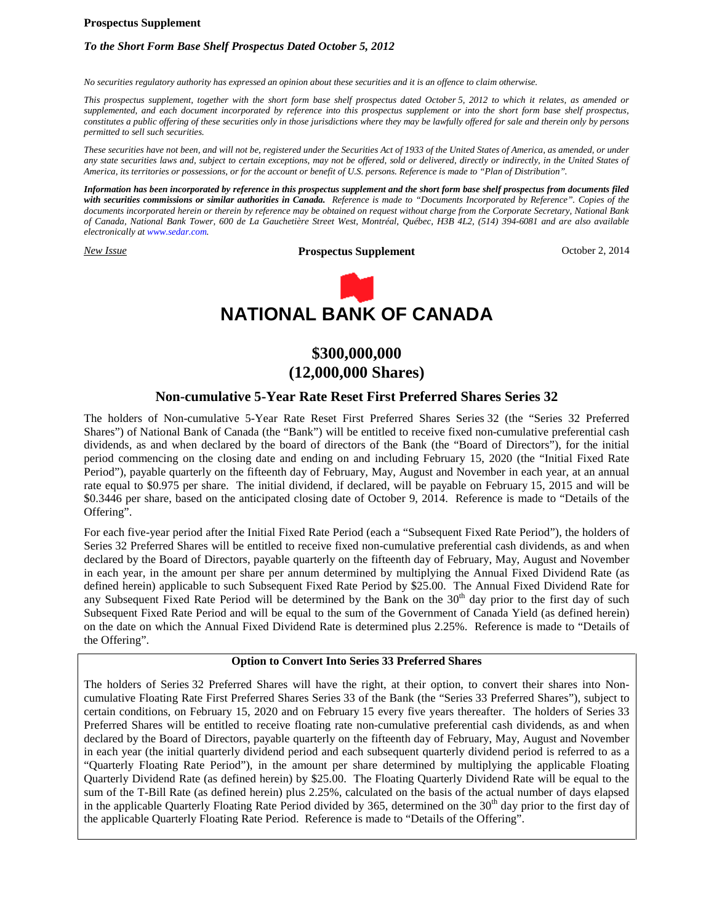### **Prospectus Supplement**

# *To the Short Form Base Shelf Prospectus Dated October 5, 2012*

*No securities regulatory authority has expressed an opinion about these securities and it is an offence to claim otherwise.*

*This prospectus supplement, together with the short form base shelf prospectus dated October 5, 2012 to which it relates, as amended or supplemented, and each document incorporated by reference into this prospectus supplement or into the short form base shelf prospectus, constitutes a public offering of these securities only in those jurisdictions where they may be lawfully offered for sale and therein only by persons permitted to sell such securities.*

*These securities have not been, and will not be, registered under the Securities Act of 1933 of the United States of America, as amended, or under any state securities laws and, subject to certain exceptions, may not be offered, sold or delivered, directly or indirectly, in the United States of America, its territories or possessions, or for the account or benefit of U.S. persons. Reference is made to "Plan of Distribution".*

*Information has been incorporated by reference in this prospectus supplement and the short form base shelf prospectus from documents filed with securities commissions or similar authorities in Canada. Reference is made to "Documents Incorporated by Reference". Copies of the documents incorporated herein or therein by reference may be obtained on request without charge from the Corporate Secretary, National Bank of Canada, National Bank Tower, 600 de La Gauchetière Street West, Montréal, Québec, H3B 4L2, (514) 394-6081 and are also available electronically at www.sedar.com.*

*New Issue* **Prospectus Supplement** October 2, 2014



# **\$300,000,000 (12,000,000 Shares)**

# **Non-cumulative 5-Year Rate Reset First Preferred Shares Series 32**

The holders of Non-cumulative 5-Year Rate Reset First Preferred Shares Series 32 (the "Series 32 Preferred Shares") of National Bank of Canada (the "Bank") will be entitled to receive fixed non-cumulative preferential cash dividends, as and when declared by the board of directors of the Bank (the "Board of Directors"), for the initial period commencing on the closing date and ending on and including February 15, 2020 (the "Initial Fixed Rate Period"), payable quarterly on the fifteenth day of February, May, August and November in each year, at an annual rate equal to \$0.975 per share. The initial dividend, if declared, will be payable on February 15, 2015 and will be \$0.3446 per share, based on the anticipated closing date of October 9, 2014. Reference is made to "Details of the Offering".

For each five-year period after the Initial Fixed Rate Period (each a "Subsequent Fixed Rate Period"), the holders of Series 32 Preferred Shares will be entitled to receive fixed non-cumulative preferential cash dividends, as and when declared by the Board of Directors, payable quarterly on the fifteenth day of February, May, August and November in each year, in the amount per share per annum determined by multiplying the Annual Fixed Dividend Rate (as defined herein) applicable to such Subsequent Fixed Rate Period by \$25.00. The Annual Fixed Dividend Rate for any Subsequent Fixed Rate Period will be determined by the Bank on the  $30<sup>th</sup>$  day prior to the first day of such Subsequent Fixed Rate Period and will be equal to the sum of the Government of Canada Yield (as defined herein) on the date on which the Annual Fixed Dividend Rate is determined plus 2.25%. Reference is made to "Details of the Offering".

# **Option to Convert Into Series 33 Preferred Shares**

The holders of Series 32 Preferred Shares will have the right, at their option, to convert their shares into Noncumulative Floating Rate First Preferred Shares Series 33 of the Bank (the "Series 33 Preferred Shares"), subject to certain conditions, on February 15, 2020 and on February 15 every five years thereafter. The holders of Series 33 Preferred Shares will be entitled to receive floating rate non-cumulative preferential cash dividends, as and when declared by the Board of Directors, payable quarterly on the fifteenth day of February, May, August and November in each year (the initial quarterly dividend period and each subsequent quarterly dividend period is referred to as a "Quarterly Floating Rate Period"), in the amount per share determined by multiplying the applicable Floating Quarterly Dividend Rate (as defined herein) by \$25.00. The Floating Quarterly Dividend Rate will be equal to the sum of the T-Bill Rate (as defined herein) plus 2.25%, calculated on the basis of the actual number of days elapsed in the applicable Quarterly Floating Rate Period divided by 365, determined on the  $30<sup>th</sup>$  day prior to the first day of the applicable Quarterly Floating Rate Period. Reference is made to "Details of the Offering".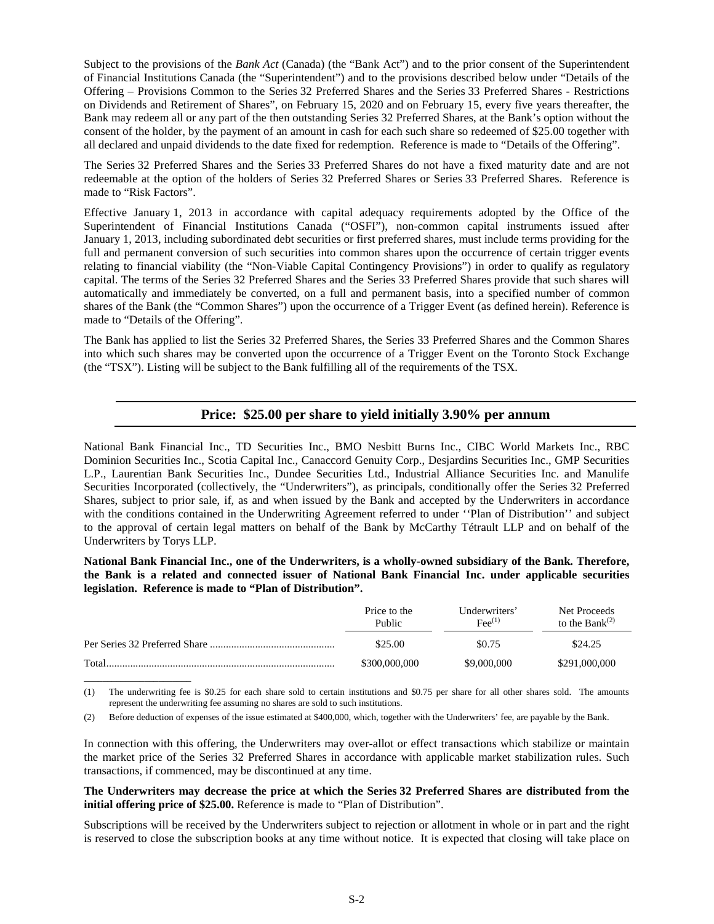Subject to the provisions of the *Bank Act* (Canada) (the "Bank Act") and to the prior consent of the Superintendent of Financial Institutions Canada (the "Superintendent") and to the provisions described below under "Details of the Offering – Provisions Common to the Series 32 Preferred Shares and the Series 33 Preferred Shares - Restrictions on Dividends and Retirement of Shares", on February 15, 2020 and on February 15, every five years thereafter, the Bank may redeem all or any part of the then outstanding Series 32 Preferred Shares, at the Bank's option without the consent of the holder, by the payment of an amount in cash for each such share so redeemed of \$25.00 together with all declared and unpaid dividends to the date fixed for redemption. Reference is made to "Details of the Offering".

The Series 32 Preferred Shares and the Series 33 Preferred Shares do not have a fixed maturity date and are not redeemable at the option of the holders of Series 32 Preferred Shares or Series 33 Preferred Shares. Reference is made to "Risk Factors".

Effective January 1, 2013 in accordance with capital adequacy requirements adopted by the Office of the Superintendent of Financial Institutions Canada ("OSFI"), non-common capital instruments issued after January 1, 2013, including subordinated debt securities or first preferred shares, must include terms providing for the full and permanent conversion of such securities into common shares upon the occurrence of certain trigger events relating to financial viability (the "Non-Viable Capital Contingency Provisions") in order to qualify as regulatory capital. The terms of the Series 32 Preferred Shares and the Series 33 Preferred Shares provide that such shares will automatically and immediately be converted, on a full and permanent basis, into a specified number of common shares of the Bank (the "Common Shares") upon the occurrence of a Trigger Event (as defined herein). Reference is made to "Details of the Offering".

The Bank has applied to list the Series 32 Preferred Shares, the Series 33 Preferred Shares and the Common Shares into which such shares may be converted upon the occurrence of a Trigger Event on the Toronto Stock Exchange (the "TSX"). Listing will be subject to the Bank fulfilling all of the requirements of the TSX.

# **Price: \$25.00 per share to yield initially 3.90% per annum**

National Bank Financial Inc., TD Securities Inc., BMO Nesbitt Burns Inc., CIBC World Markets Inc., RBC Dominion Securities Inc., Scotia Capital Inc., Canaccord Genuity Corp., Desjardins Securities Inc., GMP Securities L.P., Laurentian Bank Securities Inc., Dundee Securities Ltd., Industrial Alliance Securities Inc. and Manulife Securities Incorporated (collectively, the "Underwriters"), as principals, conditionally offer the Series 32 Preferred Shares, subject to prior sale, if, as and when issued by the Bank and accepted by the Underwriters in accordance with the conditions contained in the Underwriting Agreement referred to under ''Plan of Distribution'' and subject to the approval of certain legal matters on behalf of the Bank by McCarthy Tétrault LLP and on behalf of the Underwriters by Torys LLP.

**National Bank Financial Inc., one of the Underwriters, is a wholly-owned subsidiary of the Bank. Therefore, the Bank is a related and connected issuer of National Bank Financial Inc. under applicable securities legislation. Reference is made to "Plan of Distribution".**

|       | Price to the<br>Public | Underwriters'<br>$\text{Fee}^{(1)}$ | Net Proceeds<br>to the Bank $^{(2)}$ |
|-------|------------------------|-------------------------------------|--------------------------------------|
|       | \$25.00                | \$0.75                              | \$24.25                              |
| Total | \$300,000,000          | \$9,000,000                         | \$291,000,000                        |

(1) The underwriting fee is \$0.25 for each share sold to certain institutions and \$0.75 per share for all other shares sold. The amounts represent the underwriting fee assuming no shares are sold to such institutions.

(2) Before deduction of expenses of the issue estimated at \$400,000, which, together with the Underwriters' fee, are payable by the Bank.

\_\_\_\_\_\_\_\_\_\_\_\_\_\_\_\_\_\_\_\_\_\_\_

In connection with this offering, the Underwriters may over-allot or effect transactions which stabilize or maintain the market price of the Series 32 Preferred Shares in accordance with applicable market stabilization rules. Such transactions, if commenced, may be discontinued at any time.

# **The Underwriters may decrease the price at which the Series 32 Preferred Shares are distributed from the initial offering price of \$25.00.** Reference is made to "Plan of Distribution".

Subscriptions will be received by the Underwriters subject to rejection or allotment in whole or in part and the right is reserved to close the subscription books at any time without notice. It is expected that closing will take place on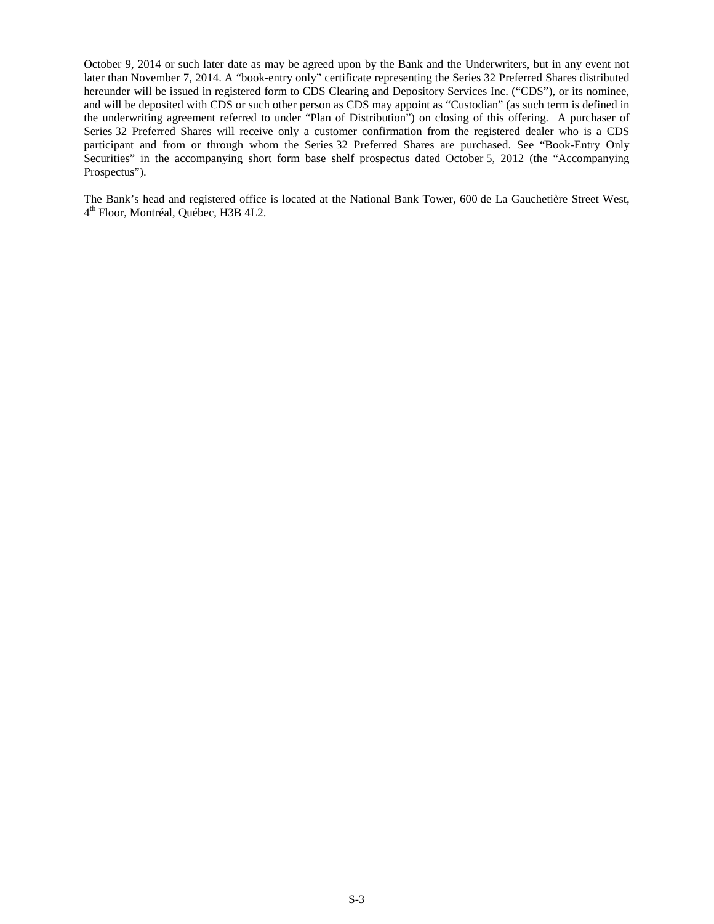October 9, 2014 or such later date as may be agreed upon by the Bank and the Underwriters, but in any event not later than November 7, 2014. A "book-entry only" certificate representing the Series 32 Preferred Shares distributed hereunder will be issued in registered form to CDS Clearing and Depository Services Inc. ("CDS"), or its nominee, and will be deposited with CDS or such other person as CDS may appoint as "Custodian" (as such term is defined in the underwriting agreement referred to under "Plan of Distribution") on closing of this offering. A purchaser of Series 32 Preferred Shares will receive only a customer confirmation from the registered dealer who is a CDS participant and from or through whom the Series 32 Preferred Shares are purchased. See "Book-Entry Only Securities" in the accompanying short form base shelf prospectus dated October 5, 2012 (the "Accompanying Prospectus").

The Bank's head and registered office is located at the National Bank Tower, 600 de La Gauchetière Street West, 4 th Floor, Montréal, Québec, H3B 4L2.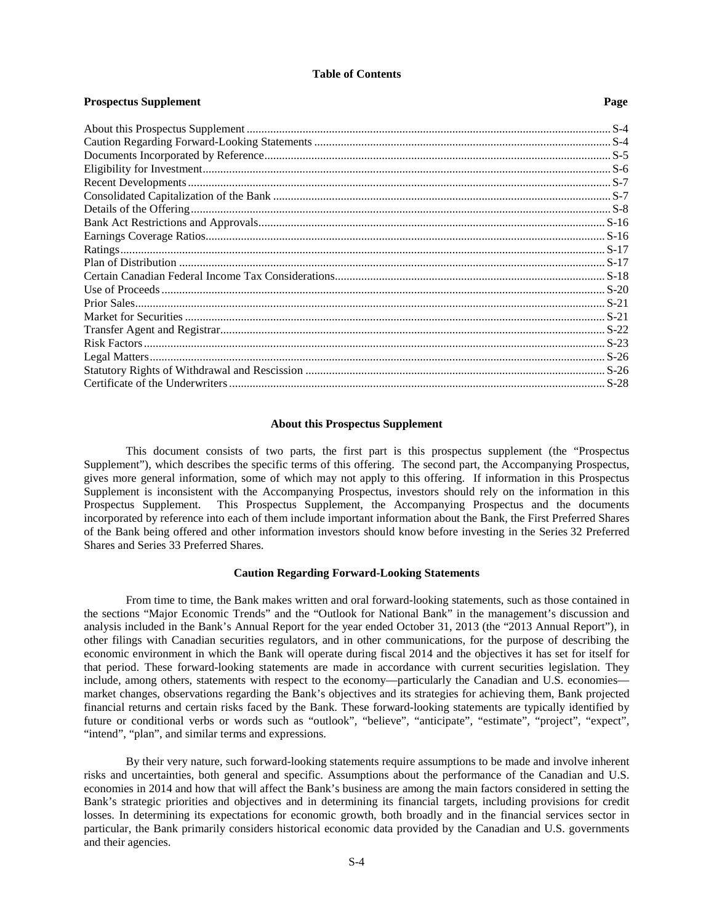#### **Table of Contents**

**Prospectus Supplement** Page

#### **About this Prospectus Supplement**

This document consists of two parts, the first part is this prospectus supplement (the "Prospectus Supplement"), which describes the specific terms of this offering. The second part, the Accompanying Prospectus, gives more general information, some of which may not apply to this offering. If information in this Prospectus Supplement is inconsistent with the Accompanying Prospectus, investors should rely on the information in this Prospectus Supplement. This Prospectus Supplement, the Accompanying Prospectus and the documents incorporated by reference into each of them include important information about the Bank, the First Preferred Shares of the Bank being offered and other information investors should know before investing in the Series 32 Preferred Shares and Series 33 Preferred Shares.

#### **Caution Regarding Forward-Looking Statements**

From time to time, the Bank makes written and oral forward-looking statements, such as those contained in the sections "Major Economic Trends" and the "Outlook for National Bank" in the management's discussion and analysis included in the Bank's Annual Report for the year ended October 31, 2013 (the "2013 Annual Report"), in other filings with Canadian securities regulators, and in other communications, for the purpose of describing the economic environment in which the Bank will operate during fiscal 2014 and the objectives it has set for itself for that period. These forward-looking statements are made in accordance with current securities legislation. They include, among others, statements with respect to the economy—particularly the Canadian and U.S. economies market changes, observations regarding the Bank's objectives and its strategies for achieving them, Bank projected financial returns and certain risks faced by the Bank. These forward-looking statements are typically identified by future or conditional verbs or words such as "outlook", "believe", "anticipate", "estimate", "project", "expect", "intend", "plan", and similar terms and expressions.

By their very nature, such forward-looking statements require assumptions to be made and involve inherent risks and uncertainties, both general and specific. Assumptions about the performance of the Canadian and U.S. economies in 2014 and how that will affect the Bank's business are among the main factors considered in setting the Bank's strategic priorities and objectives and in determining its financial targets, including provisions for credit losses. In determining its expectations for economic growth, both broadly and in the financial services sector in particular, the Bank primarily considers historical economic data provided by the Canadian and U.S. governments and their agencies.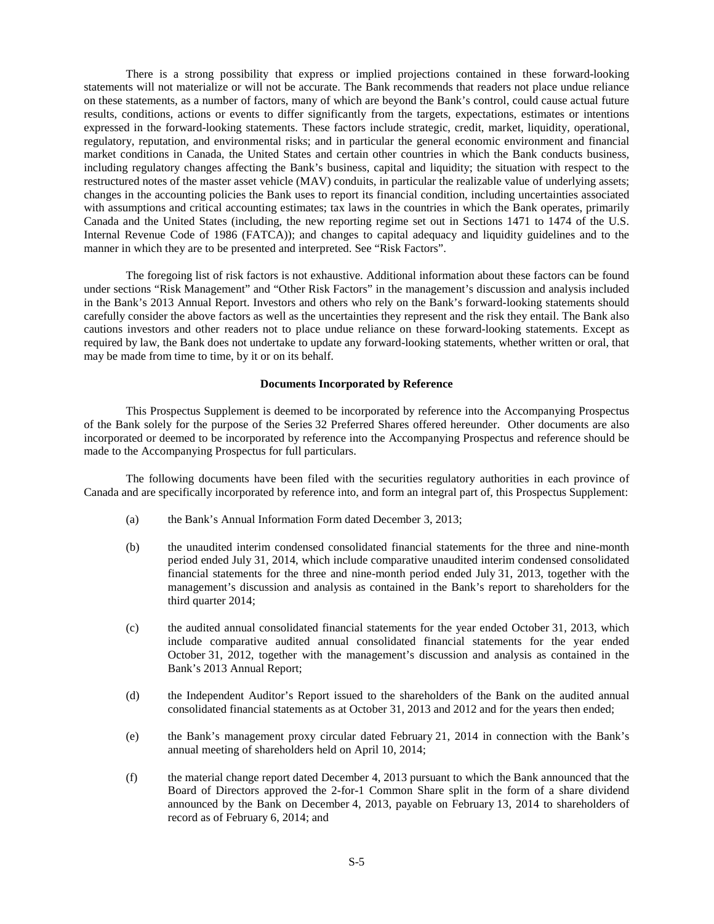There is a strong possibility that express or implied projections contained in these forward-looking statements will not materialize or will not be accurate. The Bank recommends that readers not place undue reliance on these statements, as a number of factors, many of which are beyond the Bank's control, could cause actual future results, conditions, actions or events to differ significantly from the targets, expectations, estimates or intentions expressed in the forward-looking statements. These factors include strategic, credit, market, liquidity, operational, regulatory, reputation, and environmental risks; and in particular the general economic environment and financial market conditions in Canada, the United States and certain other countries in which the Bank conducts business, including regulatory changes affecting the Bank's business, capital and liquidity; the situation with respect to the restructured notes of the master asset vehicle (MAV) conduits, in particular the realizable value of underlying assets; changes in the accounting policies the Bank uses to report its financial condition, including uncertainties associated with assumptions and critical accounting estimates; tax laws in the countries in which the Bank operates, primarily Canada and the United States (including, the new reporting regime set out in Sections 1471 to 1474 of the U.S. Internal Revenue Code of 1986 (FATCA)); and changes to capital adequacy and liquidity guidelines and to the manner in which they are to be presented and interpreted. See "Risk Factors".

The foregoing list of risk factors is not exhaustive. Additional information about these factors can be found under sections "Risk Management" and "Other Risk Factors" in the management's discussion and analysis included in the Bank's 2013 Annual Report. Investors and others who rely on the Bank's forward-looking statements should carefully consider the above factors as well as the uncertainties they represent and the risk they entail. The Bank also cautions investors and other readers not to place undue reliance on these forward-looking statements. Except as required by law, the Bank does not undertake to update any forward-looking statements, whether written or oral, that may be made from time to time, by it or on its behalf.

# **Documents Incorporated by Reference**

This Prospectus Supplement is deemed to be incorporated by reference into the Accompanying Prospectus of the Bank solely for the purpose of the Series 32 Preferred Shares offered hereunder. Other documents are also incorporated or deemed to be incorporated by reference into the Accompanying Prospectus and reference should be made to the Accompanying Prospectus for full particulars.

The following documents have been filed with the securities regulatory authorities in each province of Canada and are specifically incorporated by reference into, and form an integral part of, this Prospectus Supplement:

- (a) the Bank's Annual Information Form dated December 3, 2013;
- (b) the unaudited interim condensed consolidated financial statements for the three and nine-month period ended July 31, 2014, which include comparative unaudited interim condensed consolidated financial statements for the three and nine-month period ended July 31, 2013, together with the management's discussion and analysis as contained in the Bank's report to shareholders for the third quarter 2014;
- (c) the audited annual consolidated financial statements for the year ended October 31, 2013, which include comparative audited annual consolidated financial statements for the year ended October 31, 2012, together with the management's discussion and analysis as contained in the Bank's 2013 Annual Report;
- (d) the Independent Auditor's Report issued to the shareholders of the Bank on the audited annual consolidated financial statements as at October 31, 2013 and 2012 and for the years then ended;
- (e) the Bank's management proxy circular dated February 21, 2014 in connection with the Bank's annual meeting of shareholders held on April 10, 2014;
- (f) the material change report dated December 4, 2013 pursuant to which the Bank announced that the Board of Directors approved the 2-for-1 Common Share split in the form of a share dividend announced by the Bank on December 4, 2013, payable on February 13, 2014 to shareholders of record as of February 6, 2014; and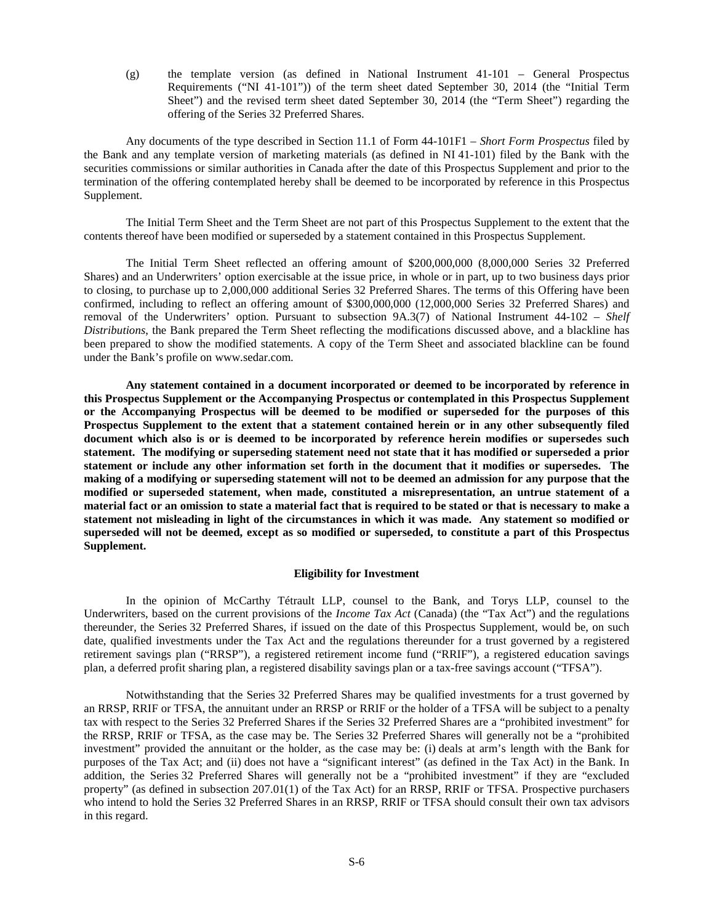(g) the template version (as defined in National Instrument 41-101 – General Prospectus Requirements ("NI 41-101")) of the term sheet dated September 30, 2014 (the "Initial Term Sheet") and the revised term sheet dated September 30, 2014 (the "Term Sheet") regarding the offering of the Series 32 Preferred Shares.

Any documents of the type described in Section 11.1 of Form 44-101F1 – *Short Form Prospectus* filed by the Bank and any template version of marketing materials (as defined in NI 41-101) filed by the Bank with the securities commissions or similar authorities in Canada after the date of this Prospectus Supplement and prior to the termination of the offering contemplated hereby shall be deemed to be incorporated by reference in this Prospectus Supplement.

The Initial Term Sheet and the Term Sheet are not part of this Prospectus Supplement to the extent that the contents thereof have been modified or superseded by a statement contained in this Prospectus Supplement.

The Initial Term Sheet reflected an offering amount of \$200,000,000 (8,000,000 Series 32 Preferred Shares) and an Underwriters' option exercisable at the issue price, in whole or in part, up to two business days prior to closing, to purchase up to 2,000,000 additional Series 32 Preferred Shares. The terms of this Offering have been confirmed, including to reflect an offering amount of \$300,000,000 (12,000,000 Series 32 Preferred Shares) and removal of the Underwriters' option. Pursuant to subsection 9A.3(7) of National Instrument 44-102 – *Shelf Distributions*, the Bank prepared the Term Sheet reflecting the modifications discussed above, and a blackline has been prepared to show the modified statements. A copy of the Term Sheet and associated blackline can be found under the Bank's profile on www.sedar.com.

**Any statement contained in a document incorporated or deemed to be incorporated by reference in this Prospectus Supplement or the Accompanying Prospectus or contemplated in this Prospectus Supplement or the Accompanying Prospectus will be deemed to be modified or superseded for the purposes of this Prospectus Supplement to the extent that a statement contained herein or in any other subsequently filed document which also is or is deemed to be incorporated by reference herein modifies or supersedes such statement. The modifying or superseding statement need not state that it has modified or superseded a prior statement or include any other information set forth in the document that it modifies or supersedes. The making of a modifying or superseding statement will not to be deemed an admission for any purpose that the modified or superseded statement, when made, constituted a misrepresentation, an untrue statement of a material fact or an omission to state a material fact that is required to be stated or that is necessary to make a statement not misleading in light of the circumstances in which it was made. Any statement so modified or superseded will not be deemed, except as so modified or superseded, to constitute a part of this Prospectus Supplement.**

### **Eligibility for Investment**

In the opinion of McCarthy Tétrault LLP, counsel to the Bank, and Torys LLP, counsel to the Underwriters, based on the current provisions of the *Income Tax Act* (Canada) (the "Tax Act") and the regulations thereunder, the Series 32 Preferred Shares, if issued on the date of this Prospectus Supplement, would be, on such date, qualified investments under the Tax Act and the regulations thereunder for a trust governed by a registered retirement savings plan ("RRSP"), a registered retirement income fund ("RRIF"), a registered education savings plan, a deferred profit sharing plan, a registered disability savings plan or a tax-free savings account ("TFSA").

Notwithstanding that the Series 32 Preferred Shares may be qualified investments for a trust governed by an RRSP, RRIF or TFSA, the annuitant under an RRSP or RRIF or the holder of a TFSA will be subject to a penalty tax with respect to the Series 32 Preferred Shares if the Series 32 Preferred Shares are a "prohibited investment" for the RRSP, RRIF or TFSA, as the case may be. The Series 32 Preferred Shares will generally not be a "prohibited investment" provided the annuitant or the holder, as the case may be: (i) deals at arm's length with the Bank for purposes of the Tax Act; and (ii) does not have a "significant interest" (as defined in the Tax Act) in the Bank. In addition, the Series 32 Preferred Shares will generally not be a "prohibited investment" if they are "excluded property" (as defined in subsection 207.01(1) of the Tax Act) for an RRSP, RRIF or TFSA. Prospective purchasers who intend to hold the Series 32 Preferred Shares in an RRSP, RRIF or TFSA should consult their own tax advisors in this regard.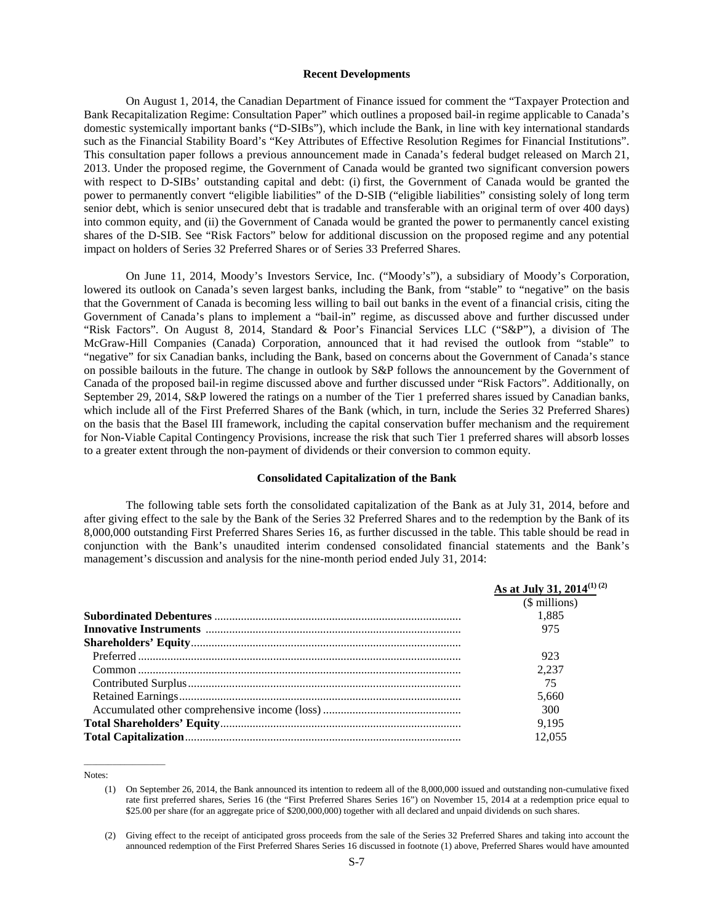#### **Recent Developments**

On August 1, 2014, the Canadian Department of Finance issued for comment the "Taxpayer Protection and Bank Recapitalization Regime: Consultation Paper" which outlines a proposed bail-in regime applicable to Canada's domestic systemically important banks ("D-SIBs"), which include the Bank, in line with key international standards such as the Financial Stability Board's "Key Attributes of Effective Resolution Regimes for Financial Institutions". This consultation paper follows a previous announcement made in Canada's federal budget released on March 21, 2013. Under the proposed regime, the Government of Canada would be granted two significant conversion powers with respect to D-SIBs' outstanding capital and debt: (i) first, the Government of Canada would be granted the power to permanently convert "eligible liabilities" of the D-SIB ("eligible liabilities" consisting solely of long term senior debt, which is senior unsecured debt that is tradable and transferable with an original term of over 400 days) into common equity, and (ii) the Government of Canada would be granted the power to permanently cancel existing shares of the D-SIB. See "Risk Factors" below for additional discussion on the proposed regime and any potential impact on holders of Series 32 Preferred Shares or of Series 33 Preferred Shares.

On June 11, 2014, Moody's Investors Service, Inc. ("Moody's"), a subsidiary of Moody's Corporation, lowered its outlook on Canada's seven largest banks, including the Bank, from "stable" to "negative" on the basis that the Government of Canada is becoming less willing to bail out banks in the event of a financial crisis, citing the Government of Canada's plans to implement a "bail-in" regime, as discussed above and further discussed under "Risk Factors". On August 8, 2014, Standard & Poor's Financial Services LLC ("S&P"), a division of The McGraw-Hill Companies (Canada) Corporation, announced that it had revised the outlook from "stable" to "negative" for six Canadian banks, including the Bank, based on concerns about the Government of Canada's stance on possible bailouts in the future. The change in outlook by S&P follows the announcement by the Government of Canada of the proposed bail-in regime discussed above and further discussed under "Risk Factors". Additionally, on September 29, 2014, S&P lowered the ratings on a number of the Tier 1 preferred shares issued by Canadian banks, which include all of the First Preferred Shares of the Bank (which, in turn, include the Series 32 Preferred Shares) on the basis that the Basel III framework, including the capital conservation buffer mechanism and the requirement for Non-Viable Capital Contingency Provisions, increase the risk that such Tier 1 preferred shares will absorb losses to a greater extent through the non-payment of dividends or their conversion to common equity.

#### **Consolidated Capitalization of the Bank**

The following table sets forth the consolidated capitalization of the Bank as at July 31, 2014, before and after giving effect to the sale by the Bank of the Series 32 Preferred Shares and to the redemption by the Bank of its 8,000,000 outstanding First Preferred Shares Series 16, as further discussed in the table. This table should be read in conjunction with the Bank's unaudited interim condensed consolidated financial statements and the Bank's management's discussion and analysis for the nine-month period ended July 31, 2014:

| As at July 31, 2014 <sup>(1)(2)</sup> |
|---------------------------------------|
| $$$ millions)                         |
| 1.885                                 |
| 975                                   |
|                                       |
| 923                                   |
| 2.237                                 |
| 75                                    |
| 5.660                                 |
| 300                                   |
| 9.195                                 |
| 12.055                                |

Notes:

 $\overline{\phantom{a}}$  , where  $\overline{\phantom{a}}$  , where  $\overline{\phantom{a}}$ 

<sup>(1)</sup> On September 26, 2014, the Bank announced its intention to redeem all of the 8,000,000 issued and outstanding non-cumulative fixed rate first preferred shares, Series 16 (the "First Preferred Shares Series 16") on November 15, 2014 at a redemption price equal to \$25.00 per share (for an aggregate price of \$200,000,000) together with all declared and unpaid dividends on such shares.

<sup>(2)</sup> Giving effect to the receipt of anticipated gross proceeds from the sale of the Series 32 Preferred Shares and taking into account the announced redemption of the First Preferred Shares Series 16 discussed in footnote (1) above, Preferred Shares would have amounted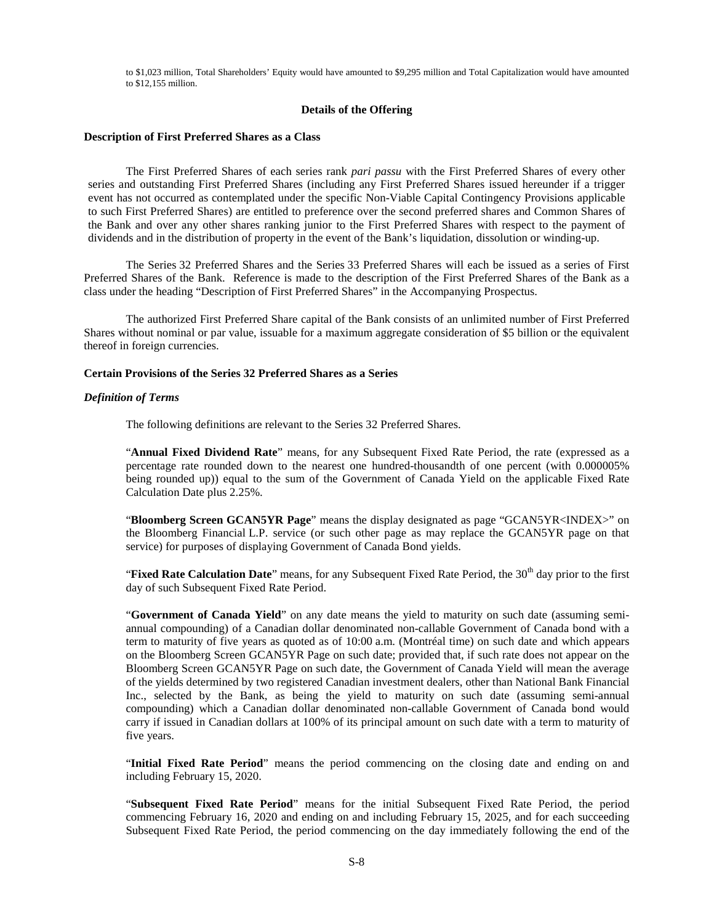to \$1,023 million, Total Shareholders' Equity would have amounted to \$9,295 million and Total Capitalization would have amounted to \$12,155 million.

#### **Details of the Offering**

#### **Description of First Preferred Shares as a Class**

The First Preferred Shares of each series rank *pari passu* with the First Preferred Shares of every other series and outstanding First Preferred Shares (including any First Preferred Shares issued hereunder if a trigger event has not occurred as contemplated under the specific Non-Viable Capital Contingency Provisions applicable to such First Preferred Shares) are entitled to preference over the second preferred shares and Common Shares of the Bank and over any other shares ranking junior to the First Preferred Shares with respect to the payment of dividends and in the distribution of property in the event of the Bank's liquidation, dissolution or winding-up.

The Series 32 Preferred Shares and the Series 33 Preferred Shares will each be issued as a series of First Preferred Shares of the Bank. Reference is made to the description of the First Preferred Shares of the Bank as a class under the heading "Description of First Preferred Shares" in the Accompanying Prospectus.

The authorized First Preferred Share capital of the Bank consists of an unlimited number of First Preferred Shares without nominal or par value, issuable for a maximum aggregate consideration of \$5 billion or the equivalent thereof in foreign currencies.

# **Certain Provisions of the Series 32 Preferred Shares as a Series**

# *Definition of Terms*

The following definitions are relevant to the Series 32 Preferred Shares.

"**Annual Fixed Dividend Rate**" means, for any Subsequent Fixed Rate Period, the rate (expressed as a percentage rate rounded down to the nearest one hundred-thousandth of one percent (with 0.000005% being rounded up)) equal to the sum of the Government of Canada Yield on the applicable Fixed Rate Calculation Date plus 2.25%.

"**Bloomberg Screen GCAN5YR Page**" means the display designated as page "GCAN5YR<INDEX>" on the Bloomberg Financial L.P. service (or such other page as may replace the GCAN5YR page on that service) for purposes of displaying Government of Canada Bond yields.

"Fixed Rate Calculation Date" means, for any Subsequent Fixed Rate Period, the 30<sup>th</sup> day prior to the first day of such Subsequent Fixed Rate Period.

"**Government of Canada Yield**" on any date means the yield to maturity on such date (assuming semiannual compounding) of a Canadian dollar denominated non-callable Government of Canada bond with a term to maturity of five years as quoted as of 10:00 a.m. (Montréal time) on such date and which appears on the Bloomberg Screen GCAN5YR Page on such date; provided that, if such rate does not appear on the Bloomberg Screen GCAN5YR Page on such date, the Government of Canada Yield will mean the average of the yields determined by two registered Canadian investment dealers, other than National Bank Financial Inc., selected by the Bank, as being the yield to maturity on such date (assuming semi-annual compounding) which a Canadian dollar denominated non-callable Government of Canada bond would carry if issued in Canadian dollars at 100% of its principal amount on such date with a term to maturity of five years.

"**Initial Fixed Rate Period**" means the period commencing on the closing date and ending on and including February 15, 2020.

"**Subsequent Fixed Rate Period**" means for the initial Subsequent Fixed Rate Period, the period commencing February 16, 2020 and ending on and including February 15, 2025, and for each succeeding Subsequent Fixed Rate Period, the period commencing on the day immediately following the end of the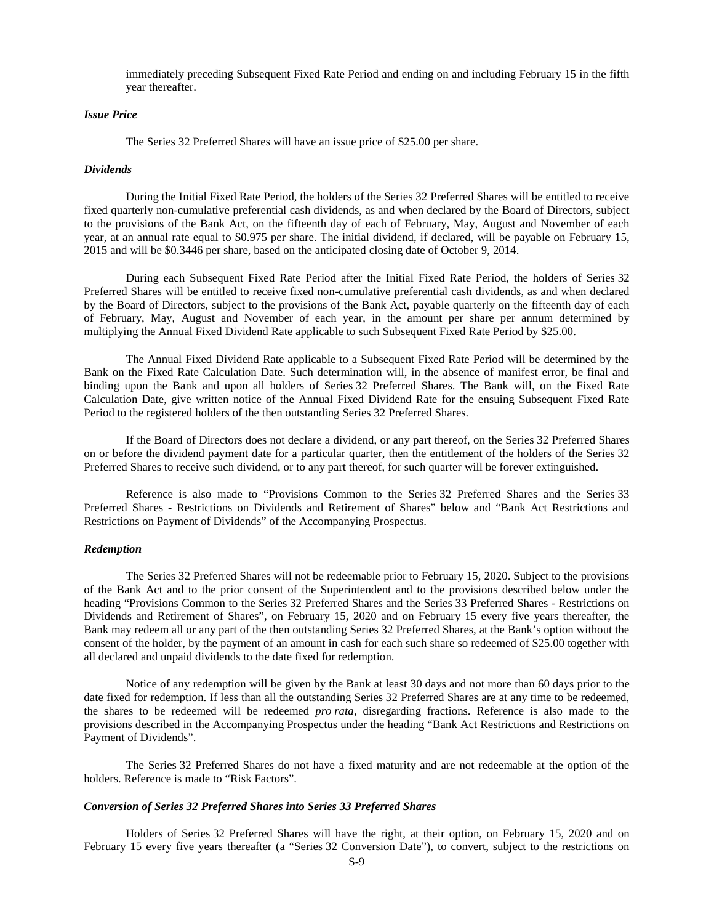immediately preceding Subsequent Fixed Rate Period and ending on and including February 15 in the fifth year thereafter.

# *Issue Price*

The Series 32 Preferred Shares will have an issue price of \$25.00 per share.

#### *Dividends*

During the Initial Fixed Rate Period, the holders of the Series 32 Preferred Shares will be entitled to receive fixed quarterly non-cumulative preferential cash dividends, as and when declared by the Board of Directors, subject to the provisions of the Bank Act, on the fifteenth day of each of February, May, August and November of each year, at an annual rate equal to \$0.975 per share. The initial dividend, if declared, will be payable on February 15, 2015 and will be \$0.3446 per share, based on the anticipated closing date of October 9, 2014.

During each Subsequent Fixed Rate Period after the Initial Fixed Rate Period, the holders of Series 32 Preferred Shares will be entitled to receive fixed non-cumulative preferential cash dividends, as and when declared by the Board of Directors, subject to the provisions of the Bank Act, payable quarterly on the fifteenth day of each of February, May, August and November of each year, in the amount per share per annum determined by multiplying the Annual Fixed Dividend Rate applicable to such Subsequent Fixed Rate Period by \$25.00.

The Annual Fixed Dividend Rate applicable to a Subsequent Fixed Rate Period will be determined by the Bank on the Fixed Rate Calculation Date. Such determination will, in the absence of manifest error, be final and binding upon the Bank and upon all holders of Series 32 Preferred Shares. The Bank will, on the Fixed Rate Calculation Date, give written notice of the Annual Fixed Dividend Rate for the ensuing Subsequent Fixed Rate Period to the registered holders of the then outstanding Series 32 Preferred Shares.

If the Board of Directors does not declare a dividend, or any part thereof, on the Series 32 Preferred Shares on or before the dividend payment date for a particular quarter, then the entitlement of the holders of the Series 32 Preferred Shares to receive such dividend, or to any part thereof, for such quarter will be forever extinguished.

Reference is also made to "Provisions Common to the Series 32 Preferred Shares and the Series 33 Preferred Shares - Restrictions on Dividends and Retirement of Shares" below and "Bank Act Restrictions and Restrictions on Payment of Dividends" of the Accompanying Prospectus.

#### *Redemption*

The Series 32 Preferred Shares will not be redeemable prior to February 15, 2020. Subject to the provisions of the Bank Act and to the prior consent of the Superintendent and to the provisions described below under the heading "Provisions Common to the Series 32 Preferred Shares and the Series 33 Preferred Shares - Restrictions on Dividends and Retirement of Shares", on February 15, 2020 and on February 15 every five years thereafter, the Bank may redeem all or any part of the then outstanding Series 32 Preferred Shares, at the Bank's option without the consent of the holder, by the payment of an amount in cash for each such share so redeemed of \$25.00 together with all declared and unpaid dividends to the date fixed for redemption.

Notice of any redemption will be given by the Bank at least 30 days and not more than 60 days prior to the date fixed for redemption. If less than all the outstanding Series 32 Preferred Shares are at any time to be redeemed, the shares to be redeemed will be redeemed *pro rata*, disregarding fractions. Reference is also made to the provisions described in the Accompanying Prospectus under the heading "Bank Act Restrictions and Restrictions on Payment of Dividends".

The Series 32 Preferred Shares do not have a fixed maturity and are not redeemable at the option of the holders. Reference is made to "Risk Factors".

#### *Conversion of Series 32 Preferred Shares into Series 33 Preferred Shares*

Holders of Series 32 Preferred Shares will have the right, at their option, on February 15, 2020 and on February 15 every five years thereafter (a "Series 32 Conversion Date"), to convert, subject to the restrictions on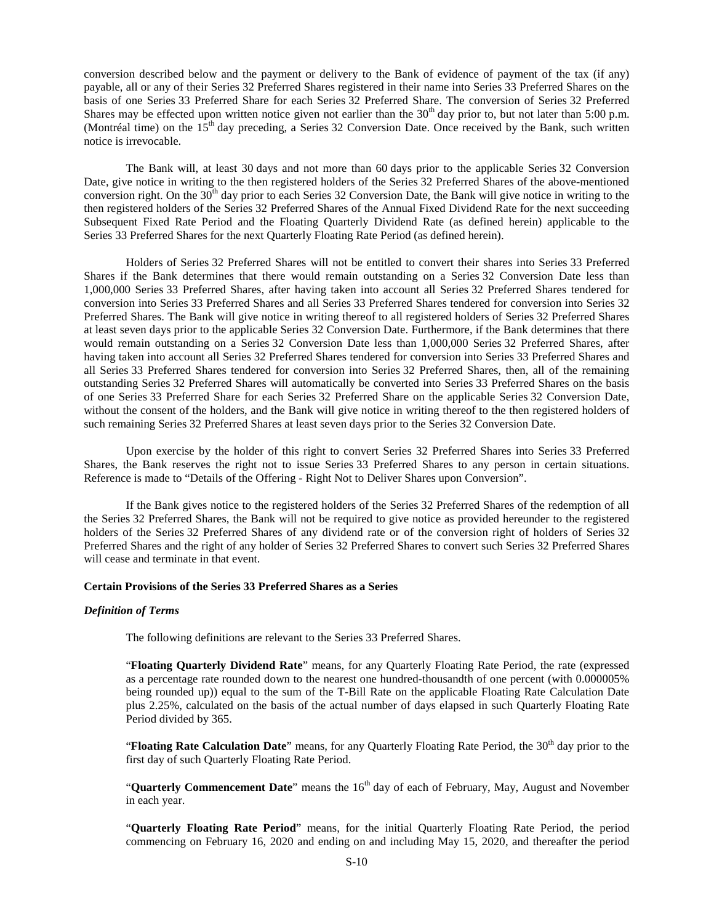conversion described below and the payment or delivery to the Bank of evidence of payment of the tax (if any) payable, all or any of their Series 32 Preferred Shares registered in their name into Series 33 Preferred Shares on the basis of one Series 33 Preferred Share for each Series 32 Preferred Share. The conversion of Series 32 Preferred Shares may be effected upon written notice given not earlier than the  $30<sup>th</sup>$  day prior to, but not later than 5:00 p.m. (Montréal time) on the 15<sup>th</sup> day preceding, a Series 32 Conversion Date. Once received by the Bank, such written notice is irrevocable.

The Bank will, at least 30 days and not more than 60 days prior to the applicable Series 32 Conversion Date, give notice in writing to the then registered holders of the Series 32 Preferred Shares of the above-mentioned conversion right. On the  $30<sup>th</sup>$  day prior to each Series 32 Conversion Date, the Bank will give notice in writing to the then registered holders of the Series 32 Preferred Shares of the Annual Fixed Dividend Rate for the next succeeding Subsequent Fixed Rate Period and the Floating Quarterly Dividend Rate (as defined herein) applicable to the Series 33 Preferred Shares for the next Quarterly Floating Rate Period (as defined herein).

Holders of Series 32 Preferred Shares will not be entitled to convert their shares into Series 33 Preferred Shares if the Bank determines that there would remain outstanding on a Series 32 Conversion Date less than 1,000,000 Series 33 Preferred Shares, after having taken into account all Series 32 Preferred Shares tendered for conversion into Series 33 Preferred Shares and all Series 33 Preferred Shares tendered for conversion into Series 32 Preferred Shares. The Bank will give notice in writing thereof to all registered holders of Series 32 Preferred Shares at least seven days prior to the applicable Series 32 Conversion Date. Furthermore, if the Bank determines that there would remain outstanding on a Series 32 Conversion Date less than 1,000,000 Series 32 Preferred Shares, after having taken into account all Series 32 Preferred Shares tendered for conversion into Series 33 Preferred Shares and all Series 33 Preferred Shares tendered for conversion into Series 32 Preferred Shares, then, all of the remaining outstanding Series 32 Preferred Shares will automatically be converted into Series 33 Preferred Shares on the basis of one Series 33 Preferred Share for each Series 32 Preferred Share on the applicable Series 32 Conversion Date, without the consent of the holders, and the Bank will give notice in writing thereof to the then registered holders of such remaining Series 32 Preferred Shares at least seven days prior to the Series 32 Conversion Date.

Upon exercise by the holder of this right to convert Series 32 Preferred Shares into Series 33 Preferred Shares, the Bank reserves the right not to issue Series 33 Preferred Shares to any person in certain situations. Reference is made to "Details of the Offering - Right Not to Deliver Shares upon Conversion".

If the Bank gives notice to the registered holders of the Series 32 Preferred Shares of the redemption of all the Series 32 Preferred Shares, the Bank will not be required to give notice as provided hereunder to the registered holders of the Series 32 Preferred Shares of any dividend rate or of the conversion right of holders of Series 32 Preferred Shares and the right of any holder of Series 32 Preferred Shares to convert such Series 32 Preferred Shares will cease and terminate in that event.

# **Certain Provisions of the Series 33 Preferred Shares as a Series**

#### *Definition of Terms*

The following definitions are relevant to the Series 33 Preferred Shares.

"**Floating Quarterly Dividend Rate**" means, for any Quarterly Floating Rate Period, the rate (expressed as a percentage rate rounded down to the nearest one hundred-thousandth of one percent (with 0.000005% being rounded up)) equal to the sum of the T-Bill Rate on the applicable Floating Rate Calculation Date plus 2.25%, calculated on the basis of the actual number of days elapsed in such Quarterly Floating Rate Period divided by 365.

"**Floating Rate Calculation Date**" means, for any Quarterly Floating Rate Period, the 30<sup>th</sup> day prior to the first day of such Quarterly Floating Rate Period.

"**Quarterly Commencement Date**" means the 16<sup>th</sup> day of each of February, May, August and November in each year.

"**Quarterly Floating Rate Period**" means, for the initial Quarterly Floating Rate Period, the period commencing on February 16, 2020 and ending on and including May 15, 2020, and thereafter the period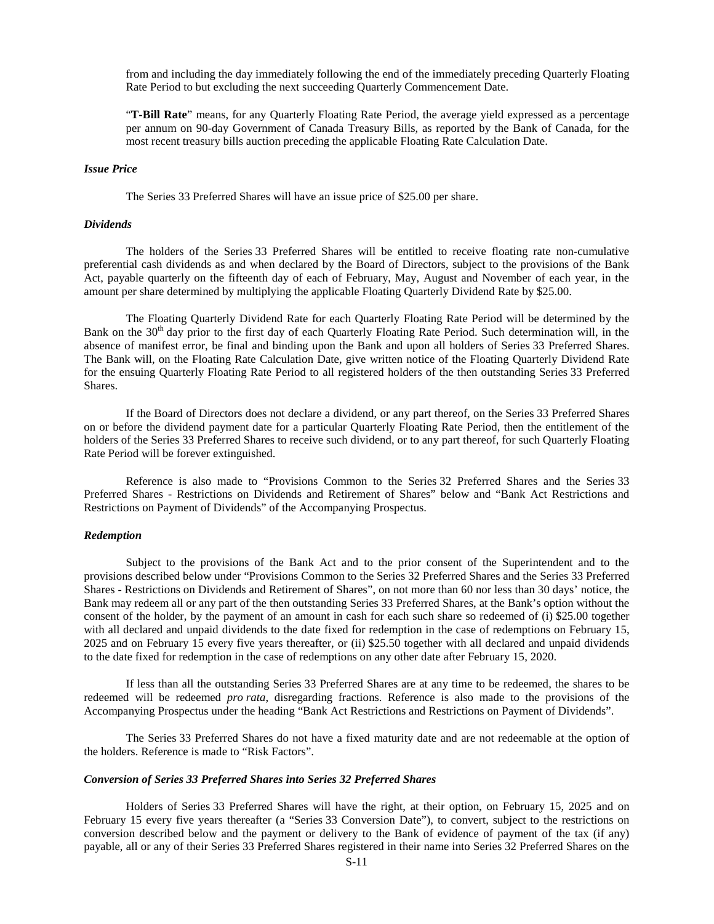from and including the day immediately following the end of the immediately preceding Quarterly Floating Rate Period to but excluding the next succeeding Quarterly Commencement Date.

"**T-Bill Rate**" means, for any Quarterly Floating Rate Period, the average yield expressed as a percentage per annum on 90-day Government of Canada Treasury Bills, as reported by the Bank of Canada, for the most recent treasury bills auction preceding the applicable Floating Rate Calculation Date.

#### *Issue Price*

The Series 33 Preferred Shares will have an issue price of \$25.00 per share.

### *Dividends*

The holders of the Series 33 Preferred Shares will be entitled to receive floating rate non-cumulative preferential cash dividends as and when declared by the Board of Directors, subject to the provisions of the Bank Act, payable quarterly on the fifteenth day of each of February, May, August and November of each year, in the amount per share determined by multiplying the applicable Floating Quarterly Dividend Rate by \$25.00.

The Floating Quarterly Dividend Rate for each Quarterly Floating Rate Period will be determined by the Bank on the 30<sup>th</sup> day prior to the first day of each Quarterly Floating Rate Period. Such determination will, in the absence of manifest error, be final and binding upon the Bank and upon all holders of Series 33 Preferred Shares. The Bank will, on the Floating Rate Calculation Date, give written notice of the Floating Quarterly Dividend Rate for the ensuing Quarterly Floating Rate Period to all registered holders of the then outstanding Series 33 Preferred Shares.

If the Board of Directors does not declare a dividend, or any part thereof, on the Series 33 Preferred Shares on or before the dividend payment date for a particular Quarterly Floating Rate Period, then the entitlement of the holders of the Series 33 Preferred Shares to receive such dividend, or to any part thereof, for such Quarterly Floating Rate Period will be forever extinguished.

Reference is also made to "Provisions Common to the Series 32 Preferred Shares and the Series 33 Preferred Shares - Restrictions on Dividends and Retirement of Shares" below and "Bank Act Restrictions and Restrictions on Payment of Dividends" of the Accompanying Prospectus.

#### *Redemption*

Subject to the provisions of the Bank Act and to the prior consent of the Superintendent and to the provisions described below under "Provisions Common to the Series 32 Preferred Shares and the Series 33 Preferred Shares - Restrictions on Dividends and Retirement of Shares", on not more than 60 nor less than 30 days' notice, the Bank may redeem all or any part of the then outstanding Series 33 Preferred Shares, at the Bank's option without the consent of the holder, by the payment of an amount in cash for each such share so redeemed of (i) \$25.00 together with all declared and unpaid dividends to the date fixed for redemption in the case of redemptions on February 15, 2025 and on February 15 every five years thereafter, or (ii) \$25.50 together with all declared and unpaid dividends to the date fixed for redemption in the case of redemptions on any other date after February 15, 2020.

If less than all the outstanding Series 33 Preferred Shares are at any time to be redeemed, the shares to be redeemed will be redeemed *pro rata*, disregarding fractions. Reference is also made to the provisions of the Accompanying Prospectus under the heading "Bank Act Restrictions and Restrictions on Payment of Dividends".

The Series 33 Preferred Shares do not have a fixed maturity date and are not redeemable at the option of the holders. Reference is made to "Risk Factors".

#### *Conversion of Series 33 Preferred Shares into Series 32 Preferred Shares*

Holders of Series 33 Preferred Shares will have the right, at their option, on February 15, 2025 and on February 15 every five years thereafter (a "Series 33 Conversion Date"), to convert, subject to the restrictions on conversion described below and the payment or delivery to the Bank of evidence of payment of the tax (if any) payable, all or any of their Series 33 Preferred Shares registered in their name into Series 32 Preferred Shares on the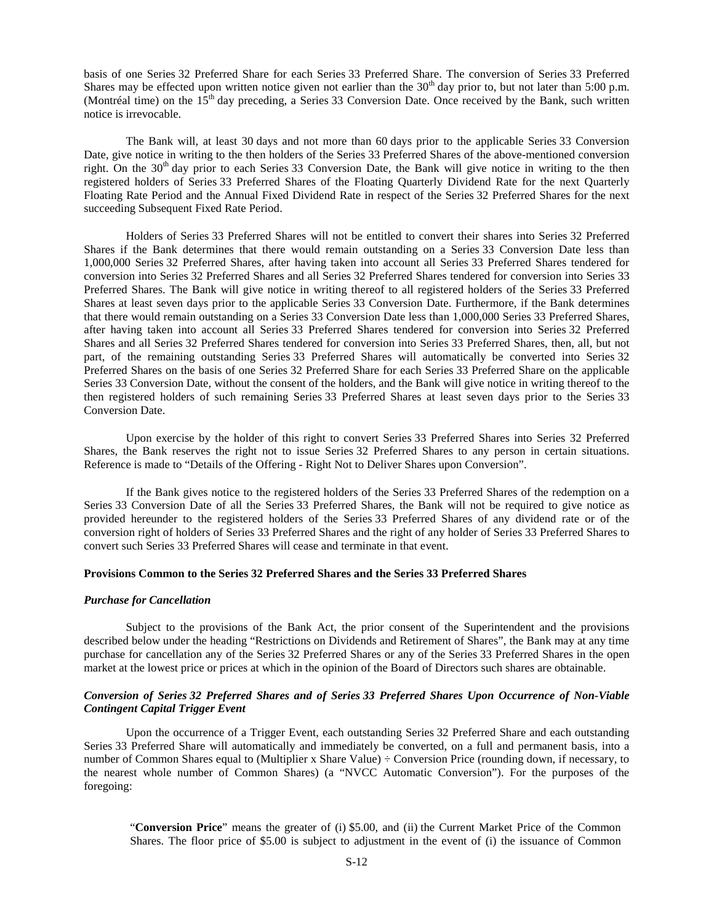basis of one Series 32 Preferred Share for each Series 33 Preferred Share. The conversion of Series 33 Preferred Shares may be effected upon written notice given not earlier than the  $30<sup>th</sup>$  day prior to, but not later than  $5:00$  p.m. (Montréal time) on the 15<sup>th</sup> day preceding, a Series 33 Conversion Date. Once received by the Bank, such written notice is irrevocable.

The Bank will, at least 30 days and not more than 60 days prior to the applicable Series 33 Conversion Date, give notice in writing to the then holders of the Series 33 Preferred Shares of the above-mentioned conversion right. On the  $30<sup>th</sup>$  day prior to each Series 33 Conversion Date, the Bank will give notice in writing to the then registered holders of Series 33 Preferred Shares of the Floating Quarterly Dividend Rate for the next Quarterly Floating Rate Period and the Annual Fixed Dividend Rate in respect of the Series 32 Preferred Shares for the next succeeding Subsequent Fixed Rate Period.

Holders of Series 33 Preferred Shares will not be entitled to convert their shares into Series 32 Preferred Shares if the Bank determines that there would remain outstanding on a Series 33 Conversion Date less than 1,000,000 Series 32 Preferred Shares, after having taken into account all Series 33 Preferred Shares tendered for conversion into Series 32 Preferred Shares and all Series 32 Preferred Shares tendered for conversion into Series 33 Preferred Shares. The Bank will give notice in writing thereof to all registered holders of the Series 33 Preferred Shares at least seven days prior to the applicable Series 33 Conversion Date. Furthermore, if the Bank determines that there would remain outstanding on a Series 33 Conversion Date less than 1,000,000 Series 33 Preferred Shares, after having taken into account all Series 33 Preferred Shares tendered for conversion into Series 32 Preferred Shares and all Series 32 Preferred Shares tendered for conversion into Series 33 Preferred Shares, then, all, but not part, of the remaining outstanding Series 33 Preferred Shares will automatically be converted into Series 32 Preferred Shares on the basis of one Series 32 Preferred Share for each Series 33 Preferred Share on the applicable Series 33 Conversion Date, without the consent of the holders, and the Bank will give notice in writing thereof to the then registered holders of such remaining Series 33 Preferred Shares at least seven days prior to the Series 33 Conversion Date.

Upon exercise by the holder of this right to convert Series 33 Preferred Shares into Series 32 Preferred Shares, the Bank reserves the right not to issue Series 32 Preferred Shares to any person in certain situations. Reference is made to "Details of the Offering - Right Not to Deliver Shares upon Conversion".

If the Bank gives notice to the registered holders of the Series 33 Preferred Shares of the redemption on a Series 33 Conversion Date of all the Series 33 Preferred Shares, the Bank will not be required to give notice as provided hereunder to the registered holders of the Series 33 Preferred Shares of any dividend rate or of the conversion right of holders of Series 33 Preferred Shares and the right of any holder of Series 33 Preferred Shares to convert such Series 33 Preferred Shares will cease and terminate in that event.

# **Provisions Common to the Series 32 Preferred Shares and the Series 33 Preferred Shares**

#### *Purchase for Cancellation*

Subject to the provisions of the Bank Act, the prior consent of the Superintendent and the provisions described below under the heading "Restrictions on Dividends and Retirement of Shares", the Bank may at any time purchase for cancellation any of the Series 32 Preferred Shares or any of the Series 33 Preferred Shares in the open market at the lowest price or prices at which in the opinion of the Board of Directors such shares are obtainable.

# *Conversion of Series 32 Preferred Shares and of Series 33 Preferred Shares Upon Occurrence of Non-Viable Contingent Capital Trigger Event*

Upon the occurrence of a Trigger Event, each outstanding Series 32 Preferred Share and each outstanding Series 33 Preferred Share will automatically and immediately be converted, on a full and permanent basis, into a number of Common Shares equal to (Multiplier x Share Value) ÷ Conversion Price (rounding down, if necessary, to the nearest whole number of Common Shares) (a "NVCC Automatic Conversion"). For the purposes of the foregoing:

"**Conversion Price**" means the greater of (i) \$5.00, and (ii) the Current Market Price of the Common Shares. The floor price of \$5.00 is subject to adjustment in the event of (i) the issuance of Common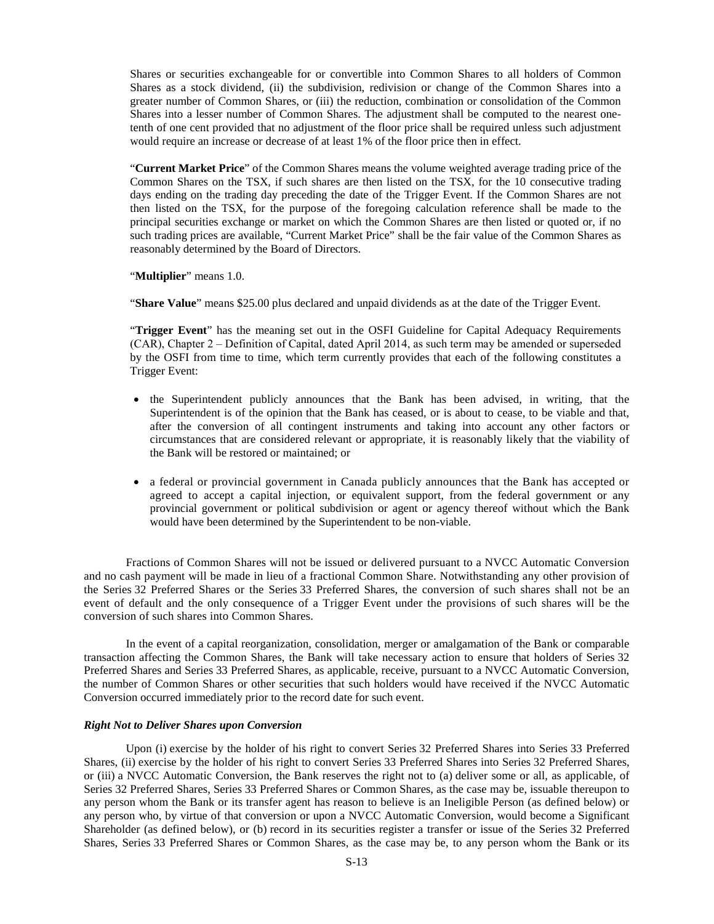Shares or securities exchangeable for or convertible into Common Shares to all holders of Common Shares as a stock dividend, (ii) the subdivision, redivision or change of the Common Shares into a greater number of Common Shares, or (iii) the reduction, combination or consolidation of the Common Shares into a lesser number of Common Shares. The adjustment shall be computed to the nearest onetenth of one cent provided that no adjustment of the floor price shall be required unless such adjustment would require an increase or decrease of at least 1% of the floor price then in effect.

"**Current Market Price**" of the Common Shares means the volume weighted average trading price of the Common Shares on the TSX, if such shares are then listed on the TSX, for the 10 consecutive trading days ending on the trading day preceding the date of the Trigger Event. If the Common Shares are not then listed on the TSX, for the purpose of the foregoing calculation reference shall be made to the principal securities exchange or market on which the Common Shares are then listed or quoted or, if no such trading prices are available, "Current Market Price" shall be the fair value of the Common Shares as reasonably determined by the Board of Directors.

"**Multiplier**" means 1.0.

"**Share Value**" means \$25.00 plus declared and unpaid dividends as at the date of the Trigger Event.

"**Trigger Event**" has the meaning set out in the OSFI Guideline for Capital Adequacy Requirements (CAR), Chapter 2 ‒ Definition of Capital, dated April 2014, as such term may be amended or superseded by the OSFI from time to time, which term currently provides that each of the following constitutes a Trigger Event:

- the Superintendent publicly announces that the Bank has been advised, in writing, that the Superintendent is of the opinion that the Bank has ceased, or is about to cease, to be viable and that, after the conversion of all contingent instruments and taking into account any other factors or circumstances that are considered relevant or appropriate, it is reasonably likely that the viability of the Bank will be restored or maintained; or
- a federal or provincial government in Canada publicly announces that the Bank has accepted or agreed to accept a capital injection, or equivalent support, from the federal government or any provincial government or political subdivision or agent or agency thereof without which the Bank would have been determined by the Superintendent to be non-viable.

Fractions of Common Shares will not be issued or delivered pursuant to a NVCC Automatic Conversion and no cash payment will be made in lieu of a fractional Common Share. Notwithstanding any other provision of the Series 32 Preferred Shares or the Series 33 Preferred Shares, the conversion of such shares shall not be an event of default and the only consequence of a Trigger Event under the provisions of such shares will be the conversion of such shares into Common Shares.

In the event of a capital reorganization, consolidation, merger or amalgamation of the Bank or comparable transaction affecting the Common Shares, the Bank will take necessary action to ensure that holders of Series 32 Preferred Shares and Series 33 Preferred Shares, as applicable, receive, pursuant to a NVCC Automatic Conversion, the number of Common Shares or other securities that such holders would have received if the NVCC Automatic Conversion occurred immediately prior to the record date for such event.

# *Right Not to Deliver Shares upon Conversion*

Upon (i) exercise by the holder of his right to convert Series 32 Preferred Shares into Series 33 Preferred Shares, (ii) exercise by the holder of his right to convert Series 33 Preferred Shares into Series 32 Preferred Shares, or (iii) a NVCC Automatic Conversion, the Bank reserves the right not to (a) deliver some or all, as applicable, of Series 32 Preferred Shares, Series 33 Preferred Shares or Common Shares, as the case may be, issuable thereupon to any person whom the Bank or its transfer agent has reason to believe is an Ineligible Person (as defined below) or any person who, by virtue of that conversion or upon a NVCC Automatic Conversion, would become a Significant Shareholder (as defined below), or (b) record in its securities register a transfer or issue of the Series 32 Preferred Shares, Series 33 Preferred Shares or Common Shares, as the case may be, to any person whom the Bank or its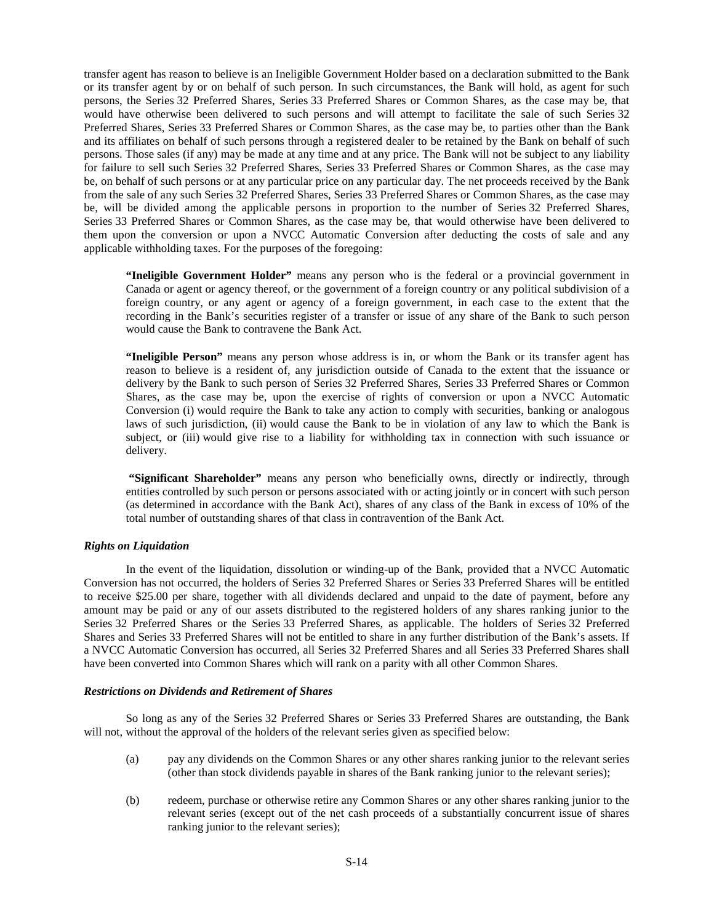transfer agent has reason to believe is an Ineligible Government Holder based on a declaration submitted to the Bank or its transfer agent by or on behalf of such person. In such circumstances, the Bank will hold, as agent for such persons, the Series 32 Preferred Shares, Series 33 Preferred Shares or Common Shares, as the case may be, that would have otherwise been delivered to such persons and will attempt to facilitate the sale of such Series 32 Preferred Shares, Series 33 Preferred Shares or Common Shares, as the case may be, to parties other than the Bank and its affiliates on behalf of such persons through a registered dealer to be retained by the Bank on behalf of such persons. Those sales (if any) may be made at any time and at any price. The Bank will not be subject to any liability for failure to sell such Series 32 Preferred Shares, Series 33 Preferred Shares or Common Shares, as the case may be, on behalf of such persons or at any particular price on any particular day. The net proceeds received by the Bank from the sale of any such Series 32 Preferred Shares, Series 33 Preferred Shares or Common Shares, as the case may be, will be divided among the applicable persons in proportion to the number of Series 32 Preferred Shares, Series 33 Preferred Shares or Common Shares, as the case may be, that would otherwise have been delivered to them upon the conversion or upon a NVCC Automatic Conversion after deducting the costs of sale and any applicable withholding taxes. For the purposes of the foregoing:

**"Ineligible Government Holder"** means any person who is the federal or a provincial government in Canada or agent or agency thereof, or the government of a foreign country or any political subdivision of a foreign country, or any agent or agency of a foreign government, in each case to the extent that the recording in the Bank's securities register of a transfer or issue of any share of the Bank to such person would cause the Bank to contravene the Bank Act.

**"Ineligible Person"** means any person whose address is in, or whom the Bank or its transfer agent has reason to believe is a resident of, any jurisdiction outside of Canada to the extent that the issuance or delivery by the Bank to such person of Series 32 Preferred Shares, Series 33 Preferred Shares or Common Shares, as the case may be, upon the exercise of rights of conversion or upon a NVCC Automatic Conversion (i) would require the Bank to take any action to comply with securities, banking or analogous laws of such jurisdiction, (ii) would cause the Bank to be in violation of any law to which the Bank is subject, or (iii) would give rise to a liability for withholding tax in connection with such issuance or delivery.

"Significant Shareholder" means any person who beneficially owns, directly or indirectly, through entities controlled by such person or persons associated with or acting jointly or in concert with such person (as determined in accordance with the Bank Act), shares of any class of the Bank in excess of 10% of the total number of outstanding shares of that class in contravention of the Bank Act.

# *Rights on Liquidation*

In the event of the liquidation, dissolution or winding-up of the Bank, provided that a NVCC Automatic Conversion has not occurred, the holders of Series 32 Preferred Shares or Series 33 Preferred Shares will be entitled to receive \$25.00 per share, together with all dividends declared and unpaid to the date of payment, before any amount may be paid or any of our assets distributed to the registered holders of any shares ranking junior to the Series 32 Preferred Shares or the Series 33 Preferred Shares, as applicable. The holders of Series 32 Preferred Shares and Series 33 Preferred Shares will not be entitled to share in any further distribution of the Bank's assets. If a NVCC Automatic Conversion has occurred, all Series 32 Preferred Shares and all Series 33 Preferred Shares shall have been converted into Common Shares which will rank on a parity with all other Common Shares.

# *Restrictions on Dividends and Retirement of Shares*

So long as any of the Series 32 Preferred Shares or Series 33 Preferred Shares are outstanding, the Bank will not, without the approval of the holders of the relevant series given as specified below:

- (a) pay any dividends on the Common Shares or any other shares ranking junior to the relevant series (other than stock dividends payable in shares of the Bank ranking junior to the relevant series);
- (b) redeem, purchase or otherwise retire any Common Shares or any other shares ranking junior to the relevant series (except out of the net cash proceeds of a substantially concurrent issue of shares ranking junior to the relevant series);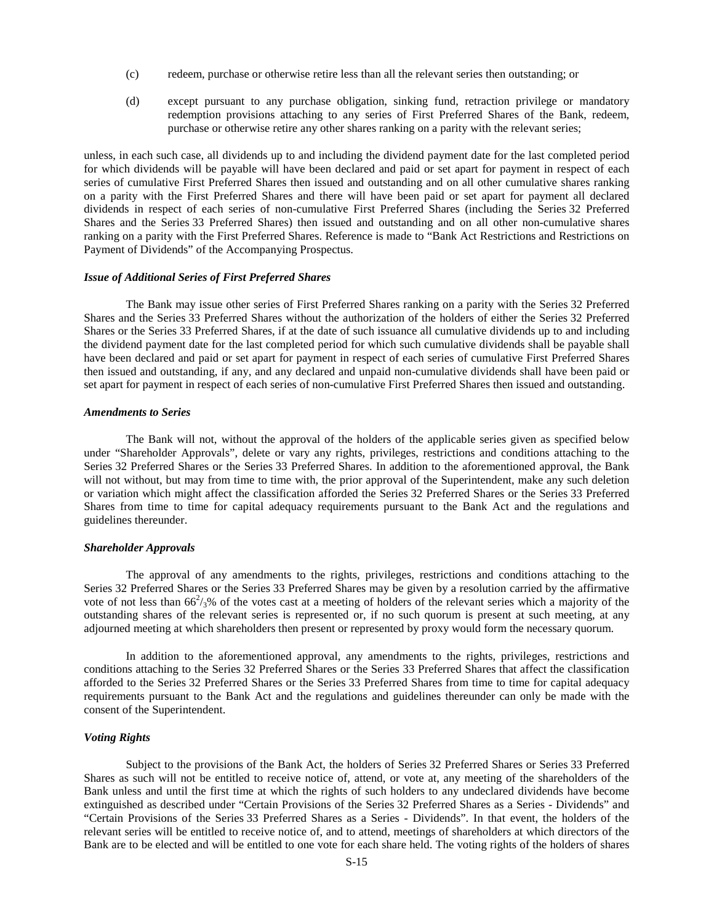- (c) redeem, purchase or otherwise retire less than all the relevant series then outstanding; or
- (d) except pursuant to any purchase obligation, sinking fund, retraction privilege or mandatory redemption provisions attaching to any series of First Preferred Shares of the Bank, redeem, purchase or otherwise retire any other shares ranking on a parity with the relevant series;

unless, in each such case, all dividends up to and including the dividend payment date for the last completed period for which dividends will be payable will have been declared and paid or set apart for payment in respect of each series of cumulative First Preferred Shares then issued and outstanding and on all other cumulative shares ranking on a parity with the First Preferred Shares and there will have been paid or set apart for payment all declared dividends in respect of each series of non-cumulative First Preferred Shares (including the Series 32 Preferred Shares and the Series 33 Preferred Shares) then issued and outstanding and on all other non-cumulative shares ranking on a parity with the First Preferred Shares. Reference is made to "Bank Act Restrictions and Restrictions on Payment of Dividends" of the Accompanying Prospectus.

#### *Issue of Additional Series of First Preferred Shares*

The Bank may issue other series of First Preferred Shares ranking on a parity with the Series 32 Preferred Shares and the Series 33 Preferred Shares without the authorization of the holders of either the Series 32 Preferred Shares or the Series 33 Preferred Shares, if at the date of such issuance all cumulative dividends up to and including the dividend payment date for the last completed period for which such cumulative dividends shall be payable shall have been declared and paid or set apart for payment in respect of each series of cumulative First Preferred Shares then issued and outstanding, if any, and any declared and unpaid non-cumulative dividends shall have been paid or set apart for payment in respect of each series of non-cumulative First Preferred Shares then issued and outstanding.

#### *Amendments to Series*

The Bank will not, without the approval of the holders of the applicable series given as specified below under "Shareholder Approvals", delete or vary any rights, privileges, restrictions and conditions attaching to the Series 32 Preferred Shares or the Series 33 Preferred Shares. In addition to the aforementioned approval, the Bank will not without, but may from time to time with, the prior approval of the Superintendent, make any such deletion or variation which might affect the classification afforded the Series 32 Preferred Shares or the Series 33 Preferred Shares from time to time for capital adequacy requirements pursuant to the Bank Act and the regulations and guidelines thereunder.

#### *Shareholder Approvals*

The approval of any amendments to the rights, privileges, restrictions and conditions attaching to the Series 32 Preferred Shares or the Series 33 Preferred Shares may be given by a resolution carried by the affirmative vote of not less than  $66\frac{2}{3}$ % of the votes cast at a meeting of holders of the relevant series which a majority of the outstanding shares of the relevant series is represented or, if no such quorum is present at such meeting, at any adjourned meeting at which shareholders then present or represented by proxy would form the necessary quorum.

In addition to the aforementioned approval, any amendments to the rights, privileges, restrictions and conditions attaching to the Series 32 Preferred Shares or the Series 33 Preferred Shares that affect the classification afforded to the Series 32 Preferred Shares or the Series 33 Preferred Shares from time to time for capital adequacy requirements pursuant to the Bank Act and the regulations and guidelines thereunder can only be made with the consent of the Superintendent.

# *Voting Rights*

Subject to the provisions of the Bank Act, the holders of Series 32 Preferred Shares or Series 33 Preferred Shares as such will not be entitled to receive notice of, attend, or vote at, any meeting of the shareholders of the Bank unless and until the first time at which the rights of such holders to any undeclared dividends have become extinguished as described under "Certain Provisions of the Series 32 Preferred Shares as a Series - Dividends" and "Certain Provisions of the Series 33 Preferred Shares as a Series - Dividends". In that event, the holders of the relevant series will be entitled to receive notice of, and to attend, meetings of shareholders at which directors of the Bank are to be elected and will be entitled to one vote for each share held. The voting rights of the holders of shares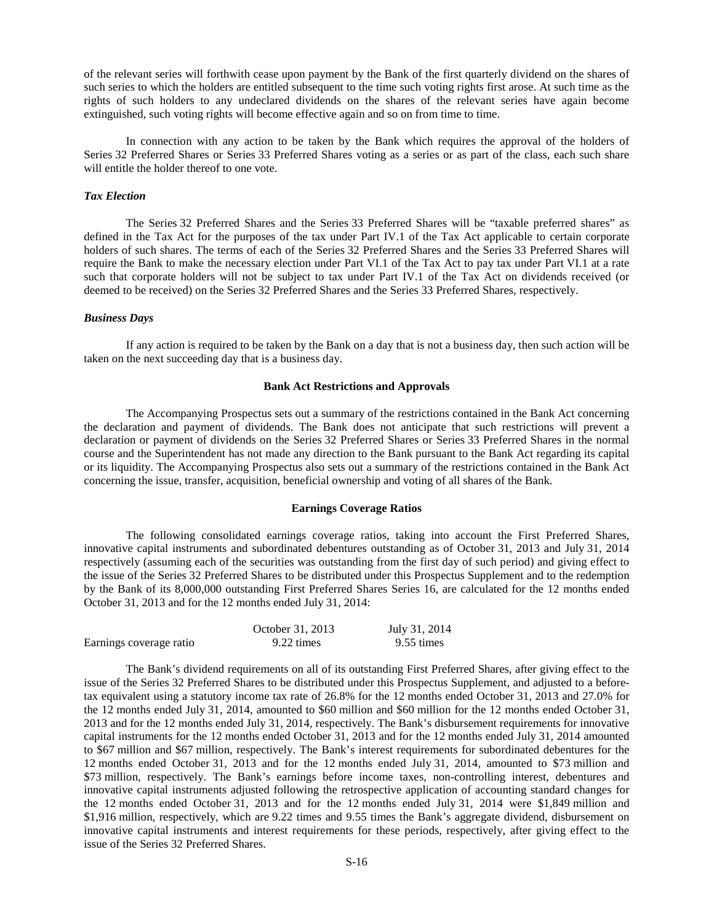of the relevant series will forthwith cease upon payment by the Bank of the first quarterly dividend on the shares of such series to which the holders are entitled subsequent to the time such voting rights first arose. At such time as the rights of such holders to any undeclared dividends on the shares of the relevant series have again become extinguished, such voting rights will become effective again and so on from time to time.

In connection with any action to be taken by the Bank which requires the approval of the holders of Series 32 Preferred Shares or Series 33 Preferred Shares voting as a series or as part of the class, each such share will entitle the holder thereof to one vote.

### *Tax Election*

The Series 32 Preferred Shares and the Series 33 Preferred Shares will be "taxable preferred shares" as defined in the Tax Act for the purposes of the tax under Part IV.1 of the Tax Act applicable to certain corporate holders of such shares. The terms of each of the Series 32 Preferred Shares and the Series 33 Preferred Shares will require the Bank to make the necessary election under Part VI.1 of the Tax Act to pay tax under Part VI.1 at a rate such that corporate holders will not be subject to tax under Part IV.1 of the Tax Act on dividends received (or deemed to be received) on the Series 32 Preferred Shares and the Series 33 Preferred Shares, respectively.

#### *Business Days*

If any action is required to be taken by the Bank on a day that is not a business day, then such action will be taken on the next succeeding day that is a business day.

# **Bank Act Restrictions and Approvals**

The Accompanying Prospectus sets out a summary of the restrictions contained in the Bank Act concerning the declaration and payment of dividends. The Bank does not anticipate that such restrictions will prevent a declaration or payment of dividends on the Series 32 Preferred Shares or Series 33 Preferred Shares in the normal course and the Superintendent has not made any direction to the Bank pursuant to the Bank Act regarding its capital or its liquidity. The Accompanying Prospectus also sets out a summary of the restrictions contained in the Bank Act concerning the issue, transfer, acquisition, beneficial ownership and voting of all shares of the Bank.

# **Earnings Coverage Ratios**

The following consolidated earnings coverage ratios, taking into account the First Preferred Shares, innovative capital instruments and subordinated debentures outstanding as of October 31, 2013 and July 31, 2014 respectively (assuming each of the securities was outstanding from the first day of such period) and giving effect to the issue of the Series 32 Preferred Shares to be distributed under this Prospectus Supplement and to the redemption by the Bank of its 8,000,000 outstanding First Preferred Shares Series 16, are calculated for the 12 months ended October 31, 2013 and for the 12 months ended July 31, 2014:

|                         | October 31, 2013 | July 31, 2014 |
|-------------------------|------------------|---------------|
| Earnings coverage ratio | 9.22 times       | 9.55 times    |

The Bank's dividend requirements on all of its outstanding First Preferred Shares, after giving effect to the issue of the Series 32 Preferred Shares to be distributed under this Prospectus Supplement, and adjusted to a beforetax equivalent using a statutory income tax rate of 26.8% for the 12 months ended October 31, 2013 and 27.0% for the 12 months ended July 31, 2014, amounted to \$60 million and \$60 million for the 12 months ended October 31, 2013 and for the 12 months ended July 31, 2014, respectively. The Bank's disbursement requirements for innovative capital instruments for the 12 months ended October 31, 2013 and for the 12 months ended July 31, 2014 amounted to \$67 million and \$67 million, respectively. The Bank's interest requirements for subordinated debentures for the 12 months ended October 31, 2013 and for the 12 months ended July 31, 2014, amounted to \$73 million and \$73 million, respectively. The Bank's earnings before income taxes, non-controlling interest, debentures and innovative capital instruments adjusted following the retrospective application of accounting standard changes for the 12 months ended October 31, 2013 and for the 12 months ended July 31, 2014 were \$1,849 million and \$1,916 million, respectively, which are 9.22 times and 9.55 times the Bank's aggregate dividend, disbursement on innovative capital instruments and interest requirements for these periods, respectively, after giving effect to the issue of the Series 32 Preferred Shares.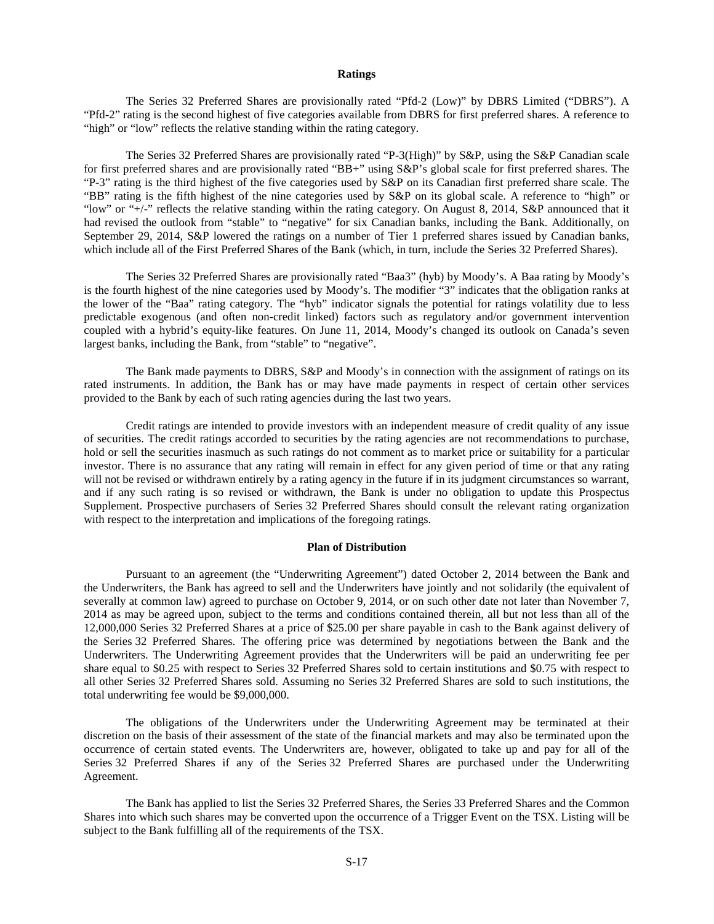#### **Ratings**

The Series 32 Preferred Shares are provisionally rated "Pfd-2 (Low)" by DBRS Limited ("DBRS"). A "Pfd-2" rating is the second highest of five categories available from DBRS for first preferred shares. A reference to "high" or "low" reflects the relative standing within the rating category.

The Series 32 Preferred Shares are provisionally rated "P-3(High)" by S&P, using the S&P Canadian scale for first preferred shares and are provisionally rated "BB+" using S&P's global scale for first preferred shares. The "P-3" rating is the third highest of the five categories used by S&P on its Canadian first preferred share scale. The "BB" rating is the fifth highest of the nine categories used by S&P on its global scale. A reference to "high" or "low" or "+/-" reflects the relative standing within the rating category. On August 8, 2014, S&P announced that it had revised the outlook from "stable" to "negative" for six Canadian banks, including the Bank. Additionally, on September 29, 2014, S&P lowered the ratings on a number of Tier 1 preferred shares issued by Canadian banks, which include all of the First Preferred Shares of the Bank (which, in turn, include the Series 32 Preferred Shares).

The Series 32 Preferred Shares are provisionally rated "Baa3" (hyb) by Moody's. A Baa rating by Moody's is the fourth highest of the nine categories used by Moody's. The modifier "3" indicates that the obligation ranks at the lower of the "Baa" rating category. The "hyb" indicator signals the potential for ratings volatility due to less predictable exogenous (and often non-credit linked) factors such as regulatory and/or government intervention coupled with a hybrid's equity-like features. On June 11, 2014, Moody's changed its outlook on Canada's seven largest banks, including the Bank, from "stable" to "negative".

The Bank made payments to DBRS, S&P and Moody's in connection with the assignment of ratings on its rated instruments. In addition, the Bank has or may have made payments in respect of certain other services provided to the Bank by each of such rating agencies during the last two years.

Credit ratings are intended to provide investors with an independent measure of credit quality of any issue of securities. The credit ratings accorded to securities by the rating agencies are not recommendations to purchase, hold or sell the securities inasmuch as such ratings do not comment as to market price or suitability for a particular investor. There is no assurance that any rating will remain in effect for any given period of time or that any rating will not be revised or withdrawn entirely by a rating agency in the future if in its judgment circumstances so warrant, and if any such rating is so revised or withdrawn, the Bank is under no obligation to update this Prospectus Supplement. Prospective purchasers of Series 32 Preferred Shares should consult the relevant rating organization with respect to the interpretation and implications of the foregoing ratings.

#### **Plan of Distribution**

Pursuant to an agreement (the "Underwriting Agreement") dated October 2, 2014 between the Bank and the Underwriters, the Bank has agreed to sell and the Underwriters have jointly and not solidarily (the equivalent of severally at common law) agreed to purchase on October 9, 2014, or on such other date not later than November 7, 2014 as may be agreed upon, subject to the terms and conditions contained therein, all but not less than all of the 12,000,000 Series 32 Preferred Shares at a price of \$25.00 per share payable in cash to the Bank against delivery of the Series 32 Preferred Shares. The offering price was determined by negotiations between the Bank and the Underwriters. The Underwriting Agreement provides that the Underwriters will be paid an underwriting fee per share equal to \$0.25 with respect to Series 32 Preferred Shares sold to certain institutions and \$0.75 with respect to all other Series 32 Preferred Shares sold. Assuming no Series 32 Preferred Shares are sold to such institutions, the total underwriting fee would be \$9,000,000.

The obligations of the Underwriters under the Underwriting Agreement may be terminated at their discretion on the basis of their assessment of the state of the financial markets and may also be terminated upon the occurrence of certain stated events. The Underwriters are, however, obligated to take up and pay for all of the Series 32 Preferred Shares if any of the Series 32 Preferred Shares are purchased under the Underwriting Agreement.

The Bank has applied to list the Series 32 Preferred Shares, the Series 33 Preferred Shares and the Common Shares into which such shares may be converted upon the occurrence of a Trigger Event on the TSX. Listing will be subject to the Bank fulfilling all of the requirements of the TSX.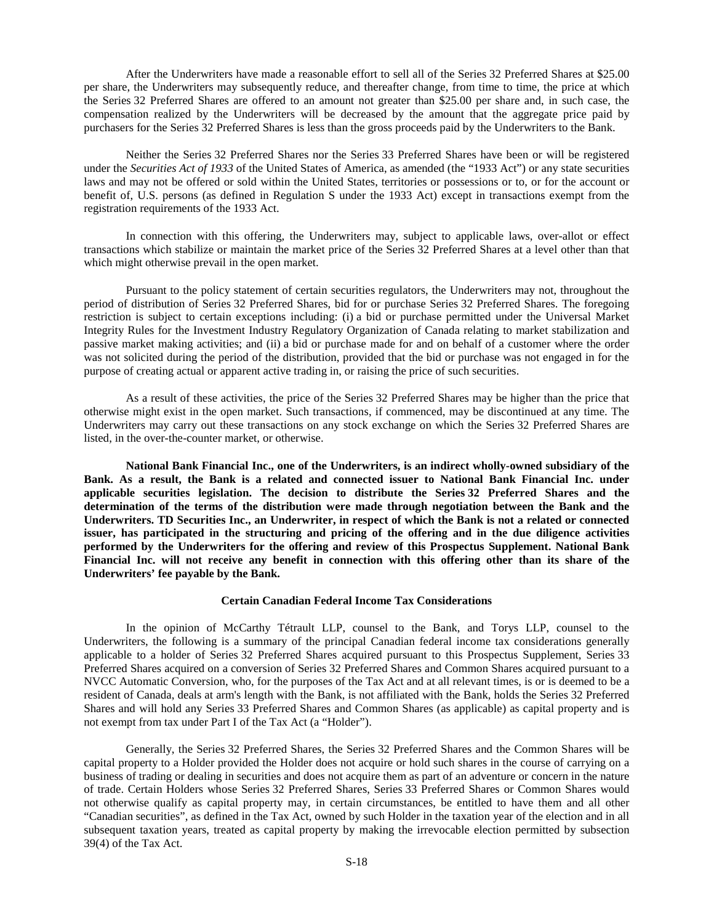After the Underwriters have made a reasonable effort to sell all of the Series 32 Preferred Shares at \$25.00 per share, the Underwriters may subsequently reduce, and thereafter change, from time to time, the price at which the Series 32 Preferred Shares are offered to an amount not greater than \$25.00 per share and, in such case, the compensation realized by the Underwriters will be decreased by the amount that the aggregate price paid by purchasers for the Series 32 Preferred Shares is less than the gross proceeds paid by the Underwriters to the Bank.

Neither the Series 32 Preferred Shares nor the Series 33 Preferred Shares have been or will be registered under the *Securities Act of 1933* of the United States of America, as amended (the "1933 Act") or any state securities laws and may not be offered or sold within the United States, territories or possessions or to, or for the account or benefit of, U.S. persons (as defined in Regulation S under the 1933 Act) except in transactions exempt from the registration requirements of the 1933 Act.

In connection with this offering, the Underwriters may, subject to applicable laws, over-allot or effect transactions which stabilize or maintain the market price of the Series 32 Preferred Shares at a level other than that which might otherwise prevail in the open market.

Pursuant to the policy statement of certain securities regulators, the Underwriters may not, throughout the period of distribution of Series 32 Preferred Shares, bid for or purchase Series 32 Preferred Shares. The foregoing restriction is subject to certain exceptions including: (i) a bid or purchase permitted under the Universal Market Integrity Rules for the Investment Industry Regulatory Organization of Canada relating to market stabilization and passive market making activities; and (ii) a bid or purchase made for and on behalf of a customer where the order was not solicited during the period of the distribution, provided that the bid or purchase was not engaged in for the purpose of creating actual or apparent active trading in, or raising the price of such securities.

As a result of these activities, the price of the Series 32 Preferred Shares may be higher than the price that otherwise might exist in the open market. Such transactions, if commenced, may be discontinued at any time. The Underwriters may carry out these transactions on any stock exchange on which the Series 32 Preferred Shares are listed, in the over-the-counter market, or otherwise.

**National Bank Financial Inc., one of the Underwriters, is an indirect wholly-owned subsidiary of the Bank. As a result, the Bank is a related and connected issuer to National Bank Financial Inc. under applicable securities legislation. The decision to distribute the Series 32 Preferred Shares and the determination of the terms of the distribution were made through negotiation between the Bank and the Underwriters. TD Securities Inc., an Underwriter, in respect of which the Bank is not a related or connected issuer, has participated in the structuring and pricing of the offering and in the due diligence activities performed by the Underwriters for the offering and review of this Prospectus Supplement. National Bank Financial Inc. will not receive any benefit in connection with this offering other than its share of the Underwriters' fee payable by the Bank.**

# **Certain Canadian Federal Income Tax Considerations**

In the opinion of McCarthy Tétrault LLP, counsel to the Bank, and Torys LLP, counsel to the Underwriters, the following is a summary of the principal Canadian federal income tax considerations generally applicable to a holder of Series 32 Preferred Shares acquired pursuant to this Prospectus Supplement, Series 33 Preferred Shares acquired on a conversion of Series 32 Preferred Shares and Common Shares acquired pursuant to a NVCC Automatic Conversion, who, for the purposes of the Tax Act and at all relevant times, is or is deemed to be a resident of Canada, deals at arm's length with the Bank, is not affiliated with the Bank, holds the Series 32 Preferred Shares and will hold any Series 33 Preferred Shares and Common Shares (as applicable) as capital property and is not exempt from tax under Part I of the Tax Act (a "Holder").

Generally, the Series 32 Preferred Shares, the Series 32 Preferred Shares and the Common Shares will be capital property to a Holder provided the Holder does not acquire or hold such shares in the course of carrying on a business of trading or dealing in securities and does not acquire them as part of an adventure or concern in the nature of trade. Certain Holders whose Series 32 Preferred Shares, Series 33 Preferred Shares or Common Shares would not otherwise qualify as capital property may, in certain circumstances, be entitled to have them and all other "Canadian securities", as defined in the Tax Act, owned by such Holder in the taxation year of the election and in all subsequent taxation years, treated as capital property by making the irrevocable election permitted by subsection 39(4) of the Tax Act.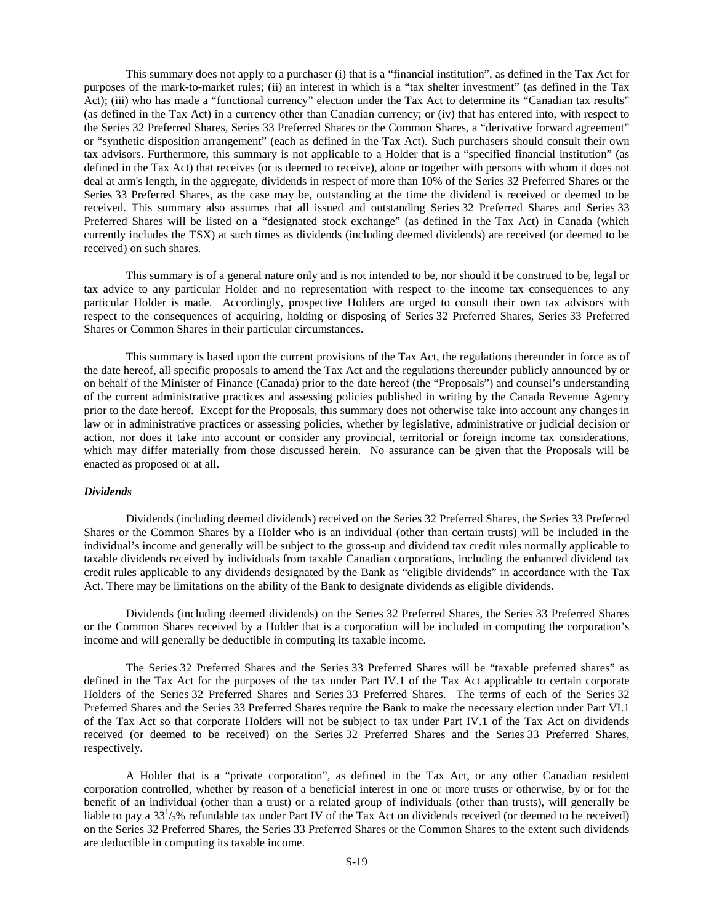This summary does not apply to a purchaser (i) that is a "financial institution", as defined in the Tax Act for purposes of the mark-to-market rules; (ii) an interest in which is a "tax shelter investment" (as defined in the Tax Act); (iii) who has made a "functional currency" election under the Tax Act to determine its "Canadian tax results" (as defined in the Tax Act) in a currency other than Canadian currency; or (iv) that has entered into, with respect to the Series 32 Preferred Shares, Series 33 Preferred Shares or the Common Shares, a "derivative forward agreement" or "synthetic disposition arrangement" (each as defined in the Tax Act). Such purchasers should consult their own tax advisors. Furthermore, this summary is not applicable to a Holder that is a "specified financial institution" (as defined in the Tax Act) that receives (or is deemed to receive), alone or together with persons with whom it does not deal at arm's length, in the aggregate, dividends in respect of more than 10% of the Series 32 Preferred Shares or the Series 33 Preferred Shares, as the case may be, outstanding at the time the dividend is received or deemed to be received. This summary also assumes that all issued and outstanding Series 32 Preferred Shares and Series 33 Preferred Shares will be listed on a "designated stock exchange" (as defined in the Tax Act) in Canada (which currently includes the TSX) at such times as dividends (including deemed dividends) are received (or deemed to be received) on such shares.

This summary is of a general nature only and is not intended to be, nor should it be construed to be, legal or tax advice to any particular Holder and no representation with respect to the income tax consequences to any particular Holder is made. Accordingly, prospective Holders are urged to consult their own tax advisors with respect to the consequences of acquiring, holding or disposing of Series 32 Preferred Shares, Series 33 Preferred Shares or Common Shares in their particular circumstances.

This summary is based upon the current provisions of the Tax Act, the regulations thereunder in force as of the date hereof, all specific proposals to amend the Tax Act and the regulations thereunder publicly announced by or on behalf of the Minister of Finance (Canada) prior to the date hereof (the "Proposals") and counsel's understanding of the current administrative practices and assessing policies published in writing by the Canada Revenue Agency prior to the date hereof. Except for the Proposals, this summary does not otherwise take into account any changes in law or in administrative practices or assessing policies, whether by legislative, administrative or judicial decision or action, nor does it take into account or consider any provincial, territorial or foreign income tax considerations, which may differ materially from those discussed herein. No assurance can be given that the Proposals will be enacted as proposed or at all.

#### *Dividends*

Dividends (including deemed dividends) received on the Series 32 Preferred Shares, the Series 33 Preferred Shares or the Common Shares by a Holder who is an individual (other than certain trusts) will be included in the individual's income and generally will be subject to the gross-up and dividend tax credit rules normally applicable to taxable dividends received by individuals from taxable Canadian corporations, including the enhanced dividend tax credit rules applicable to any dividends designated by the Bank as "eligible dividends" in accordance with the Tax Act. There may be limitations on the ability of the Bank to designate dividends as eligible dividends.

Dividends (including deemed dividends) on the Series 32 Preferred Shares, the Series 33 Preferred Shares or the Common Shares received by a Holder that is a corporation will be included in computing the corporation's income and will generally be deductible in computing its taxable income.

The Series 32 Preferred Shares and the Series 33 Preferred Shares will be "taxable preferred shares" as defined in the Tax Act for the purposes of the tax under Part IV.1 of the Tax Act applicable to certain corporate Holders of the Series 32 Preferred Shares and Series 33 Preferred Shares. The terms of each of the Series 32 Preferred Shares and the Series 33 Preferred Shares require the Bank to make the necessary election under Part VI.1 of the Tax Act so that corporate Holders will not be subject to tax under Part IV.1 of the Tax Act on dividends received (or deemed to be received) on the Series 32 Preferred Shares and the Series 33 Preferred Shares, respectively.

A Holder that is a "private corporation", as defined in the Tax Act, or any other Canadian resident corporation controlled, whether by reason of a beneficial interest in one or more trusts or otherwise, by or for the benefit of an individual (other than a trust) or a related group of individuals (other than trusts), will generally be liable to pay a 33<sup>1</sup>/<sub>3</sub>% refundable tax under Part IV of the Tax Act on dividends received (or deemed to be received) on the Series 32 Preferred Shares, the Series 33 Preferred Shares or the Common Shares to the extent such dividends are deductible in computing its taxable income.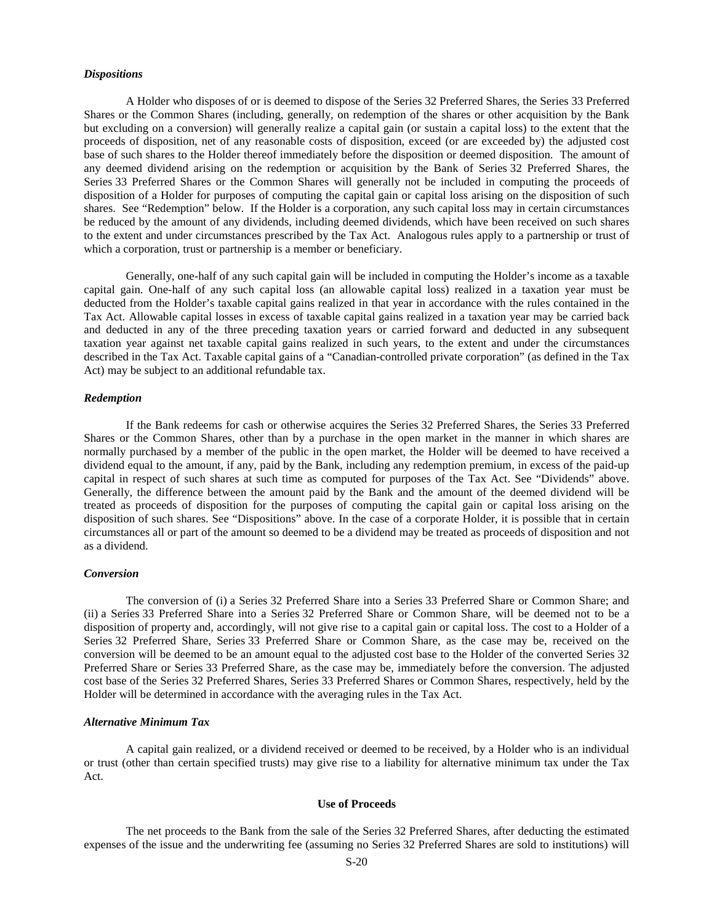#### *Dispositions*

A Holder who disposes of or is deemed to dispose of the Series 32 Preferred Shares, the Series 33 Preferred Shares or the Common Shares (including, generally, on redemption of the shares or other acquisition by the Bank but excluding on a conversion) will generally realize a capital gain (or sustain a capital loss) to the extent that the proceeds of disposition, net of any reasonable costs of disposition, exceed (or are exceeded by) the adjusted cost base of such shares to the Holder thereof immediately before the disposition or deemed disposition. The amount of any deemed dividend arising on the redemption or acquisition by the Bank of Series 32 Preferred Shares, the Series 33 Preferred Shares or the Common Shares will generally not be included in computing the proceeds of disposition of a Holder for purposes of computing the capital gain or capital loss arising on the disposition of such shares. See "Redemption" below. If the Holder is a corporation, any such capital loss may in certain circumstances be reduced by the amount of any dividends, including deemed dividends, which have been received on such shares to the extent and under circumstances prescribed by the Tax Act. Analogous rules apply to a partnership or trust of which a corporation, trust or partnership is a member or beneficiary.

Generally, one-half of any such capital gain will be included in computing the Holder's income as a taxable capital gain. One-half of any such capital loss (an allowable capital loss) realized in a taxation year must be deducted from the Holder's taxable capital gains realized in that year in accordance with the rules contained in the Tax Act. Allowable capital losses in excess of taxable capital gains realized in a taxation year may be carried back and deducted in any of the three preceding taxation years or carried forward and deducted in any subsequent taxation year against net taxable capital gains realized in such years, to the extent and under the circumstances described in the Tax Act. Taxable capital gains of a "Canadian-controlled private corporation" (as defined in the Tax Act) may be subject to an additional refundable tax.

# *Redemption*

If the Bank redeems for cash or otherwise acquires the Series 32 Preferred Shares, the Series 33 Preferred Shares or the Common Shares, other than by a purchase in the open market in the manner in which shares are normally purchased by a member of the public in the open market, the Holder will be deemed to have received a dividend equal to the amount, if any, paid by the Bank, including any redemption premium, in excess of the paid-up capital in respect of such shares at such time as computed for purposes of the Tax Act. See "Dividends" above. Generally, the difference between the amount paid by the Bank and the amount of the deemed dividend will be treated as proceeds of disposition for the purposes of computing the capital gain or capital loss arising on the disposition of such shares. See "Dispositions" above. In the case of a corporate Holder, it is possible that in certain circumstances all or part of the amount so deemed to be a dividend may be treated as proceeds of disposition and not as a dividend.

#### *Conversion*

The conversion of (i) a Series 32 Preferred Share into a Series 33 Preferred Share or Common Share; and (ii) a Series 33 Preferred Share into a Series 32 Preferred Share or Common Share, will be deemed not to be a disposition of property and, accordingly, will not give rise to a capital gain or capital loss. The cost to a Holder of a Series 32 Preferred Share, Series 33 Preferred Share or Common Share, as the case may be, received on the conversion will be deemed to be an amount equal to the adjusted cost base to the Holder of the converted Series 32 Preferred Share or Series 33 Preferred Share, as the case may be, immediately before the conversion. The adjusted cost base of the Series 32 Preferred Shares, Series 33 Preferred Shares or Common Shares, respectively, held by the Holder will be determined in accordance with the averaging rules in the Tax Act.

#### *Alternative Minimum Tax*

A capital gain realized, or a dividend received or deemed to be received, by a Holder who is an individual or trust (other than certain specified trusts) may give rise to a liability for alternative minimum tax under the Tax Act.

#### **Use of Proceeds**

The net proceeds to the Bank from the sale of the Series 32 Preferred Shares, after deducting the estimated expenses of the issue and the underwriting fee (assuming no Series 32 Preferred Shares are sold to institutions) will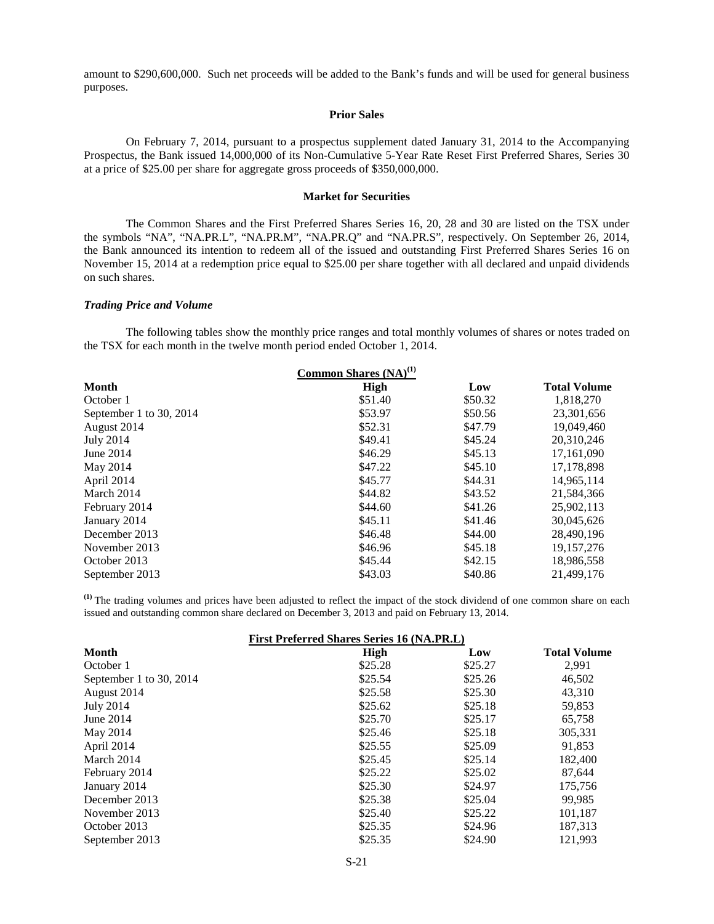amount to \$290,600,000. Such net proceeds will be added to the Bank's funds and will be used for general business purposes.

### **Prior Sales**

On February 7, 2014, pursuant to a prospectus supplement dated January 31, 2014 to the Accompanying Prospectus, the Bank issued 14,000,000 of its Non-Cumulative 5-Year Rate Reset First Preferred Shares, Series 30 at a price of \$25.00 per share for aggregate gross proceeds of \$350,000,000.

#### **Market for Securities**

The Common Shares and the First Preferred Shares Series 16, 20, 28 and 30 are listed on the TSX under the symbols "NA", "NA.PR.L", "NA.PR.M", "NA.PR.Q" and "NA.PR.S", respectively. On September 26, 2014, the Bank announced its intention to redeem all of the issued and outstanding First Preferred Shares Series 16 on November 15, 2014 at a redemption price equal to \$25.00 per share together with all declared and unpaid dividends on such shares.

#### *Trading Price and Volume*

The following tables show the monthly price ranges and total monthly volumes of shares or notes traded on the TSX for each month in the twelve month period ended October 1, 2014.

| <b>Common Shares (NA)<sup>(1)</sup></b> |         |         |                     |  |
|-----------------------------------------|---------|---------|---------------------|--|
| <b>Month</b>                            | High    | Low     | <b>Total Volume</b> |  |
| October 1                               | \$51.40 | \$50.32 | 1,818,270           |  |
| September 1 to 30, 2014                 | \$53.97 | \$50.56 | 23,301,656          |  |
| August 2014                             | \$52.31 | \$47.79 | 19,049,460          |  |
| <b>July 2014</b>                        | \$49.41 | \$45.24 | 20,310,246          |  |
| June 2014                               | \$46.29 | \$45.13 | 17,161,090          |  |
| May 2014                                | \$47.22 | \$45.10 | 17, 178, 898        |  |
| April 2014                              | \$45.77 | \$44.31 | 14,965,114          |  |
| March 2014                              | \$44.82 | \$43.52 | 21,584,366          |  |
| February 2014                           | \$44.60 | \$41.26 | 25,902,113          |  |
| January 2014                            | \$45.11 | \$41.46 | 30,045,626          |  |
| December 2013                           | \$46.48 | \$44.00 | 28,490,196          |  |
| November 2013                           | \$46.96 | \$45.18 | 19, 157, 276        |  |
| October 2013                            | \$45.44 | \$42.15 | 18,986,558          |  |
| September 2013                          | \$43.03 | \$40.86 | 21.499.176          |  |

**(1)** The trading volumes and prices have been adjusted to reflect the impact of the stock dividend of one common share on each issued and outstanding common share declared on December 3, 2013 and paid on February 13, 2014.

| <b>First Preferred Shares Series 16 (NA.PR.L)</b> |         |         |                     |
|---------------------------------------------------|---------|---------|---------------------|
| <b>Month</b>                                      | High    | Low     | <b>Total Volume</b> |
| October 1                                         | \$25.28 | \$25.27 | 2,991               |
| September 1 to 30, 2014                           | \$25.54 | \$25.26 | 46,502              |
| August 2014                                       | \$25.58 | \$25.30 | 43,310              |
| July 2014                                         | \$25.62 | \$25.18 | 59,853              |
| June 2014                                         | \$25.70 | \$25.17 | 65,758              |
| May 2014                                          | \$25.46 | \$25.18 | 305,331             |
| April 2014                                        | \$25.55 | \$25.09 | 91,853              |
| March 2014                                        | \$25.45 | \$25.14 | 182,400             |
| February 2014                                     | \$25.22 | \$25.02 | 87,644              |
| January 2014                                      | \$25.30 | \$24.97 | 175,756             |
| December 2013                                     | \$25.38 | \$25.04 | 99,985              |
| November 2013                                     | \$25.40 | \$25.22 | 101,187             |
| October 2013                                      | \$25.35 | \$24.96 | 187,313             |
| September 2013                                    | \$25.35 | \$24.90 | 121.993             |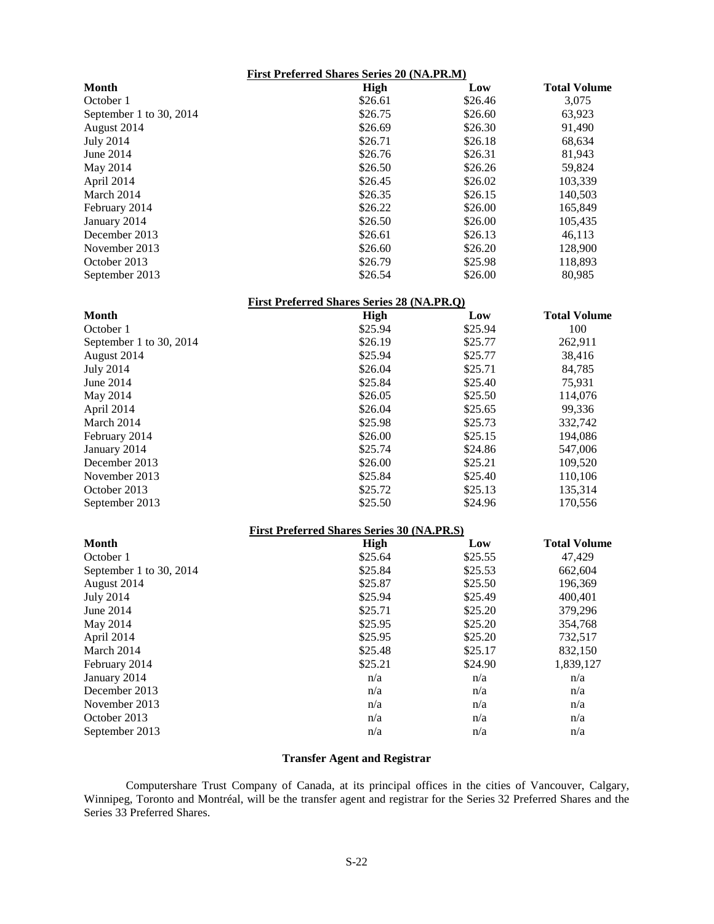| <b>First Preferred Shares Series 20 (NA.PR.M)</b> |                                                   |         |                     |  |
|---------------------------------------------------|---------------------------------------------------|---------|---------------------|--|
| <b>Month</b>                                      | <b>High</b>                                       | Low     | <b>Total Volume</b> |  |
| October 1                                         | \$26.61                                           | \$26.46 | 3,075               |  |
| September 1 to 30, 2014                           | \$26.75                                           | \$26.60 | 63,923              |  |
| August 2014                                       | \$26.69                                           | \$26.30 | 91,490              |  |
| <b>July 2014</b>                                  | \$26.71                                           | \$26.18 | 68,634              |  |
| June 2014                                         | \$26.76                                           | \$26.31 | 81,943              |  |
| May 2014                                          | \$26.50                                           | \$26.26 | 59,824              |  |
| April 2014                                        | \$26.45                                           | \$26.02 | 103,339             |  |
| March 2014                                        | \$26.35                                           | \$26.15 | 140,503             |  |
| February 2014                                     | \$26.22                                           | \$26.00 | 165,849             |  |
| January 2014                                      | \$26.50                                           | \$26.00 | 105,435             |  |
| December 2013                                     | \$26.61                                           | \$26.13 | 46,113              |  |
| November 2013                                     | \$26.60                                           | \$26.20 | 128,900             |  |
| October 2013                                      | \$26.79                                           | \$25.98 | 118,893             |  |
| September 2013                                    | \$26.54                                           | \$26.00 | 80,985              |  |
|                                                   | <b>First Preferred Shares Series 28 (NA.PR.O)</b> |         |                     |  |
| <b>Month</b>                                      | <b>High</b>                                       | Low     | <b>Total Volume</b> |  |
| October 1                                         | \$25.94                                           | \$25.94 | 100                 |  |
| September 1 to 30, 2014                           | \$26.19                                           | \$25.77 | 262,911             |  |
| August 2014                                       | \$25.94                                           | \$25.77 | 38,416              |  |
| <b>July 2014</b>                                  | \$26.04                                           | \$25.71 | 84,785              |  |
| June 2014                                         | \$25.84                                           | \$25.40 | 75,931              |  |
| May 2014                                          | \$26.05                                           | \$25.50 | 114,076             |  |
| April 2014                                        | \$26.04                                           | \$25.65 | 99,336              |  |
| March 2014                                        | \$25.98                                           | \$25.73 | 332,742             |  |
| February 2014                                     | \$26.00                                           | \$25.15 | 194,086             |  |
| January 2014                                      | \$25.74                                           | \$24.86 | 547,006             |  |
| December 2013                                     | \$26.00                                           | \$25.21 | 109,520             |  |
| November 2013                                     | \$25.84                                           | \$25.40 | 110,106             |  |
| October 2013                                      | \$25.72                                           | \$25.13 | 135,314             |  |
| September 2013                                    | \$25.50                                           | \$24.96 | 170,556             |  |
|                                                   | <b>First Preferred Shares Series 30 (NA.PR.S)</b> |         |                     |  |
| <b>Month</b>                                      | <b>High</b>                                       | Low     | <b>Total Volume</b> |  |
| October 1                                         | \$25.64                                           | \$25.55 | 47,429              |  |
| September 1 to 30, 2014                           | \$25.84                                           | \$25.53 | 662,604             |  |
| August 2014                                       | \$25.87                                           | \$25.50 | 196,369             |  |
| <b>July 2014</b>                                  | \$25.94                                           | \$25.49 | 400,401             |  |
| June 2014                                         | \$25.71                                           | \$25.20 | 379,296             |  |
| May 2014                                          | \$25.95                                           | \$25.20 | 354,768             |  |
| April 2014                                        | \$25.95                                           | \$25.20 | 732,517             |  |
| March 2014                                        | \$25.48                                           | \$25.17 | 832,150             |  |
| February 2014                                     | \$25.21                                           | \$24.90 | 1,839,127           |  |
| January 2014                                      | n/a                                               | n/a     | n/a                 |  |
| December 2013                                     | n/a                                               | n/a     | n/a                 |  |
| November 2013                                     | n/a                                               | n/a     | n/a                 |  |
| October 2013                                      | n/a                                               | n/a     | n/a                 |  |
| September 2013                                    | n/a                                               | n/a     | n/a                 |  |

# **Transfer Agent and Registrar**

Computershare Trust Company of Canada, at its principal offices in the cities of Vancouver, Calgary, Winnipeg, Toronto and Montréal, will be the transfer agent and registrar for the Series 32 Preferred Shares and the Series 33 Preferred Shares.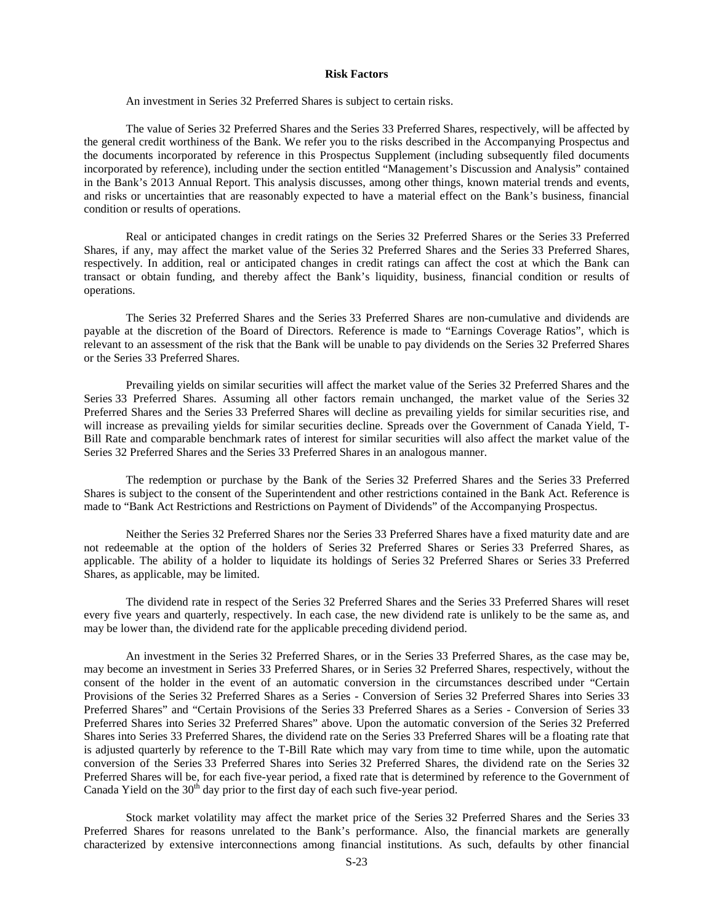#### **Risk Factors**

#### An investment in Series 32 Preferred Shares is subject to certain risks.

The value of Series 32 Preferred Shares and the Series 33 Preferred Shares, respectively, will be affected by the general credit worthiness of the Bank. We refer you to the risks described in the Accompanying Prospectus and the documents incorporated by reference in this Prospectus Supplement (including subsequently filed documents incorporated by reference), including under the section entitled "Management's Discussion and Analysis" contained in the Bank's 2013 Annual Report. This analysis discusses, among other things, known material trends and events, and risks or uncertainties that are reasonably expected to have a material effect on the Bank's business, financial condition or results of operations.

Real or anticipated changes in credit ratings on the Series 32 Preferred Shares or the Series 33 Preferred Shares, if any, may affect the market value of the Series 32 Preferred Shares and the Series 33 Preferred Shares, respectively. In addition, real or anticipated changes in credit ratings can affect the cost at which the Bank can transact or obtain funding, and thereby affect the Bank's liquidity, business, financial condition or results of operations.

The Series 32 Preferred Shares and the Series 33 Preferred Shares are non-cumulative and dividends are payable at the discretion of the Board of Directors. Reference is made to "Earnings Coverage Ratios", which is relevant to an assessment of the risk that the Bank will be unable to pay dividends on the Series 32 Preferred Shares or the Series 33 Preferred Shares.

Prevailing yields on similar securities will affect the market value of the Series 32 Preferred Shares and the Series 33 Preferred Shares. Assuming all other factors remain unchanged, the market value of the Series 32 Preferred Shares and the Series 33 Preferred Shares will decline as prevailing yields for similar securities rise, and will increase as prevailing yields for similar securities decline. Spreads over the Government of Canada Yield, T-Bill Rate and comparable benchmark rates of interest for similar securities will also affect the market value of the Series 32 Preferred Shares and the Series 33 Preferred Shares in an analogous manner.

The redemption or purchase by the Bank of the Series 32 Preferred Shares and the Series 33 Preferred Shares is subject to the consent of the Superintendent and other restrictions contained in the Bank Act. Reference is made to "Bank Act Restrictions and Restrictions on Payment of Dividends" of the Accompanying Prospectus.

Neither the Series 32 Preferred Shares nor the Series 33 Preferred Shares have a fixed maturity date and are not redeemable at the option of the holders of Series 32 Preferred Shares or Series 33 Preferred Shares, as applicable. The ability of a holder to liquidate its holdings of Series 32 Preferred Shares or Series 33 Preferred Shares, as applicable, may be limited.

The dividend rate in respect of the Series 32 Preferred Shares and the Series 33 Preferred Shares will reset every five years and quarterly, respectively. In each case, the new dividend rate is unlikely to be the same as, and may be lower than, the dividend rate for the applicable preceding dividend period.

An investment in the Series 32 Preferred Shares, or in the Series 33 Preferred Shares, as the case may be, may become an investment in Series 33 Preferred Shares, or in Series 32 Preferred Shares, respectively, without the consent of the holder in the event of an automatic conversion in the circumstances described under "Certain Provisions of the Series 32 Preferred Shares as a Series - Conversion of Series 32 Preferred Shares into Series 33 Preferred Shares" and "Certain Provisions of the Series 33 Preferred Shares as a Series - Conversion of Series 33 Preferred Shares into Series 32 Preferred Shares" above. Upon the automatic conversion of the Series 32 Preferred Shares into Series 33 Preferred Shares, the dividend rate on the Series 33 Preferred Shares will be a floating rate that is adjusted quarterly by reference to the T-Bill Rate which may vary from time to time while, upon the automatic conversion of the Series 33 Preferred Shares into Series 32 Preferred Shares, the dividend rate on the Series 32 Preferred Shares will be, for each five-year period, a fixed rate that is determined by reference to the Government of Canada Yield on the  $30<sup>th</sup>$  day prior to the first day of each such five-year period.

Stock market volatility may affect the market price of the Series 32 Preferred Shares and the Series 33 Preferred Shares for reasons unrelated to the Bank's performance. Also, the financial markets are generally characterized by extensive interconnections among financial institutions. As such, defaults by other financial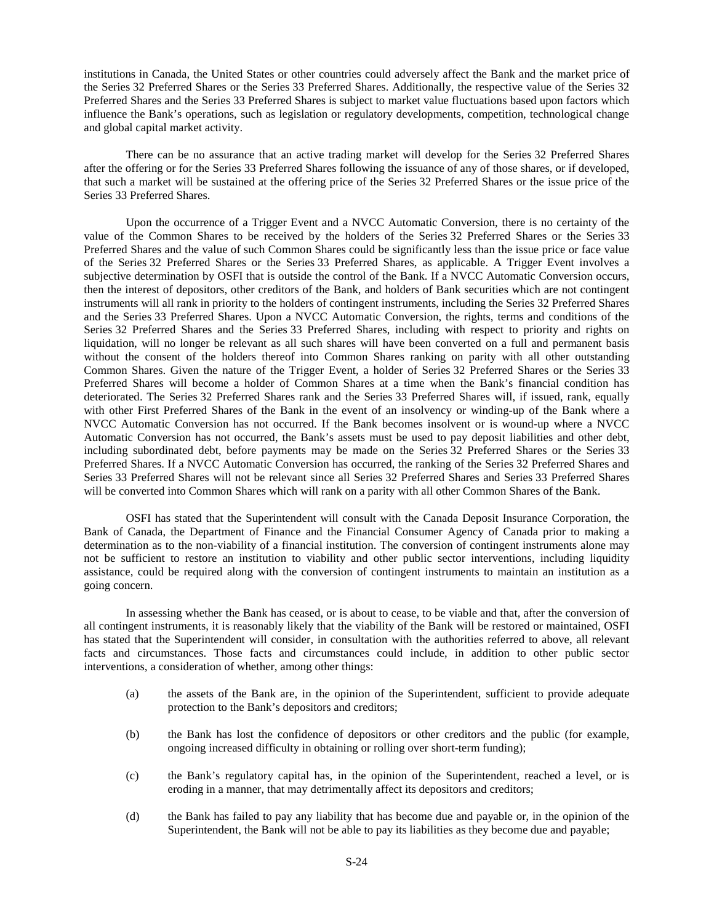institutions in Canada, the United States or other countries could adversely affect the Bank and the market price of the Series 32 Preferred Shares or the Series 33 Preferred Shares. Additionally, the respective value of the Series 32 Preferred Shares and the Series 33 Preferred Shares is subject to market value fluctuations based upon factors which influence the Bank's operations, such as legislation or regulatory developments, competition, technological change and global capital market activity.

There can be no assurance that an active trading market will develop for the Series 32 Preferred Shares after the offering or for the Series 33 Preferred Shares following the issuance of any of those shares, or if developed, that such a market will be sustained at the offering price of the Series 32 Preferred Shares or the issue price of the Series 33 Preferred Shares.

Upon the occurrence of a Trigger Event and a NVCC Automatic Conversion, there is no certainty of the value of the Common Shares to be received by the holders of the Series 32 Preferred Shares or the Series 33 Preferred Shares and the value of such Common Shares could be significantly less than the issue price or face value of the Series 32 Preferred Shares or the Series 33 Preferred Shares, as applicable. A Trigger Event involves a subjective determination by OSFI that is outside the control of the Bank. If a NVCC Automatic Conversion occurs, then the interest of depositors, other creditors of the Bank, and holders of Bank securities which are not contingent instruments will all rank in priority to the holders of contingent instruments, including the Series 32 Preferred Shares and the Series 33 Preferred Shares. Upon a NVCC Automatic Conversion, the rights, terms and conditions of the Series 32 Preferred Shares and the Series 33 Preferred Shares, including with respect to priority and rights on liquidation, will no longer be relevant as all such shares will have been converted on a full and permanent basis without the consent of the holders thereof into Common Shares ranking on parity with all other outstanding Common Shares. Given the nature of the Trigger Event, a holder of Series 32 Preferred Shares or the Series 33 Preferred Shares will become a holder of Common Shares at a time when the Bank's financial condition has deteriorated. The Series 32 Preferred Shares rank and the Series 33 Preferred Shares will, if issued, rank, equally with other First Preferred Shares of the Bank in the event of an insolvency or winding-up of the Bank where a NVCC Automatic Conversion has not occurred. If the Bank becomes insolvent or is wound-up where a NVCC Automatic Conversion has not occurred, the Bank's assets must be used to pay deposit liabilities and other debt, including subordinated debt, before payments may be made on the Series 32 Preferred Shares or the Series 33 Preferred Shares. If a NVCC Automatic Conversion has occurred, the ranking of the Series 32 Preferred Shares and Series 33 Preferred Shares will not be relevant since all Series 32 Preferred Shares and Series 33 Preferred Shares will be converted into Common Shares which will rank on a parity with all other Common Shares of the Bank.

OSFI has stated that the Superintendent will consult with the Canada Deposit Insurance Corporation, the Bank of Canada, the Department of Finance and the Financial Consumer Agency of Canada prior to making a determination as to the non-viability of a financial institution. The conversion of contingent instruments alone may not be sufficient to restore an institution to viability and other public sector interventions, including liquidity assistance, could be required along with the conversion of contingent instruments to maintain an institution as a going concern.

In assessing whether the Bank has ceased, or is about to cease, to be viable and that, after the conversion of all contingent instruments, it is reasonably likely that the viability of the Bank will be restored or maintained, OSFI has stated that the Superintendent will consider, in consultation with the authorities referred to above, all relevant facts and circumstances. Those facts and circumstances could include, in addition to other public sector interventions, a consideration of whether, among other things:

- (a) the assets of the Bank are, in the opinion of the Superintendent, sufficient to provide adequate protection to the Bank's depositors and creditors;
- (b) the Bank has lost the confidence of depositors or other creditors and the public (for example, ongoing increased difficulty in obtaining or rolling over short-term funding);
- (c) the Bank's regulatory capital has, in the opinion of the Superintendent, reached a level, or is eroding in a manner, that may detrimentally affect its depositors and creditors;
- (d) the Bank has failed to pay any liability that has become due and payable or, in the opinion of the Superintendent, the Bank will not be able to pay its liabilities as they become due and payable;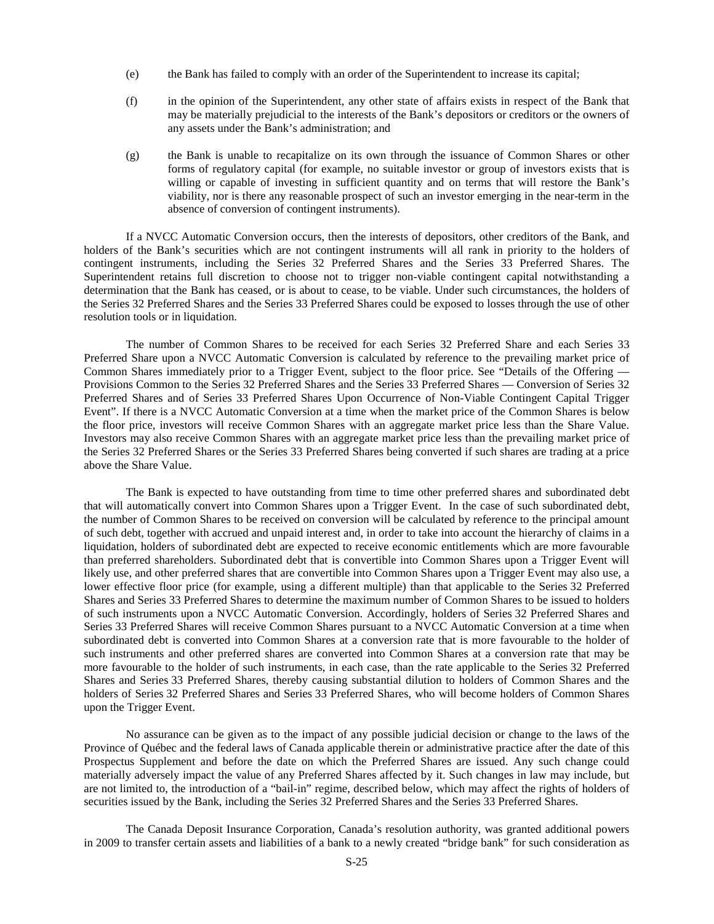- (e) the Bank has failed to comply with an order of the Superintendent to increase its capital;
- (f) in the opinion of the Superintendent, any other state of affairs exists in respect of the Bank that may be materially prejudicial to the interests of the Bank's depositors or creditors or the owners of any assets under the Bank's administration; and
- (g) the Bank is unable to recapitalize on its own through the issuance of Common Shares or other forms of regulatory capital (for example, no suitable investor or group of investors exists that is willing or capable of investing in sufficient quantity and on terms that will restore the Bank's viability, nor is there any reasonable prospect of such an investor emerging in the near-term in the absence of conversion of contingent instruments).

If a NVCC Automatic Conversion occurs, then the interests of depositors, other creditors of the Bank, and holders of the Bank's securities which are not contingent instruments will all rank in priority to the holders of contingent instruments, including the Series 32 Preferred Shares and the Series 33 Preferred Shares. The Superintendent retains full discretion to choose not to trigger non-viable contingent capital notwithstanding a determination that the Bank has ceased, or is about to cease, to be viable. Under such circumstances, the holders of the Series 32 Preferred Shares and the Series 33 Preferred Shares could be exposed to losses through the use of other resolution tools or in liquidation.

The number of Common Shares to be received for each Series 32 Preferred Share and each Series 33 Preferred Share upon a NVCC Automatic Conversion is calculated by reference to the prevailing market price of Common Shares immediately prior to a Trigger Event, subject to the floor price. See "Details of the Offering — Provisions Common to the Series 32 Preferred Shares and the Series 33 Preferred Shares — Conversion of Series 32 Preferred Shares and of Series 33 Preferred Shares Upon Occurrence of Non-Viable Contingent Capital Trigger Event". If there is a NVCC Automatic Conversion at a time when the market price of the Common Shares is below the floor price, investors will receive Common Shares with an aggregate market price less than the Share Value. Investors may also receive Common Shares with an aggregate market price less than the prevailing market price of the Series 32 Preferred Shares or the Series 33 Preferred Shares being converted if such shares are trading at a price above the Share Value.

The Bank is expected to have outstanding from time to time other preferred shares and subordinated debt that will automatically convert into Common Shares upon a Trigger Event. In the case of such subordinated debt, the number of Common Shares to be received on conversion will be calculated by reference to the principal amount of such debt, together with accrued and unpaid interest and, in order to take into account the hierarchy of claims in a liquidation, holders of subordinated debt are expected to receive economic entitlements which are more favourable than preferred shareholders. Subordinated debt that is convertible into Common Shares upon a Trigger Event will likely use, and other preferred shares that are convertible into Common Shares upon a Trigger Event may also use, a lower effective floor price (for example, using a different multiple) than that applicable to the Series 32 Preferred Shares and Series 33 Preferred Shares to determine the maximum number of Common Shares to be issued to holders of such instruments upon a NVCC Automatic Conversion. Accordingly, holders of Series 32 Preferred Shares and Series 33 Preferred Shares will receive Common Shares pursuant to a NVCC Automatic Conversion at a time when subordinated debt is converted into Common Shares at a conversion rate that is more favourable to the holder of such instruments and other preferred shares are converted into Common Shares at a conversion rate that may be more favourable to the holder of such instruments, in each case, than the rate applicable to the Series 32 Preferred Shares and Series 33 Preferred Shares, thereby causing substantial dilution to holders of Common Shares and the holders of Series 32 Preferred Shares and Series 33 Preferred Shares, who will become holders of Common Shares upon the Trigger Event.

No assurance can be given as to the impact of any possible judicial decision or change to the laws of the Province of Québec and the federal laws of Canada applicable therein or administrative practice after the date of this Prospectus Supplement and before the date on which the Preferred Shares are issued. Any such change could materially adversely impact the value of any Preferred Shares affected by it. Such changes in law may include, but are not limited to, the introduction of a "bail-in" regime, described below, which may affect the rights of holders of securities issued by the Bank, including the Series 32 Preferred Shares and the Series 33 Preferred Shares.

The Canada Deposit Insurance Corporation, Canada's resolution authority, was granted additional powers in 2009 to transfer certain assets and liabilities of a bank to a newly created "bridge bank" for such consideration as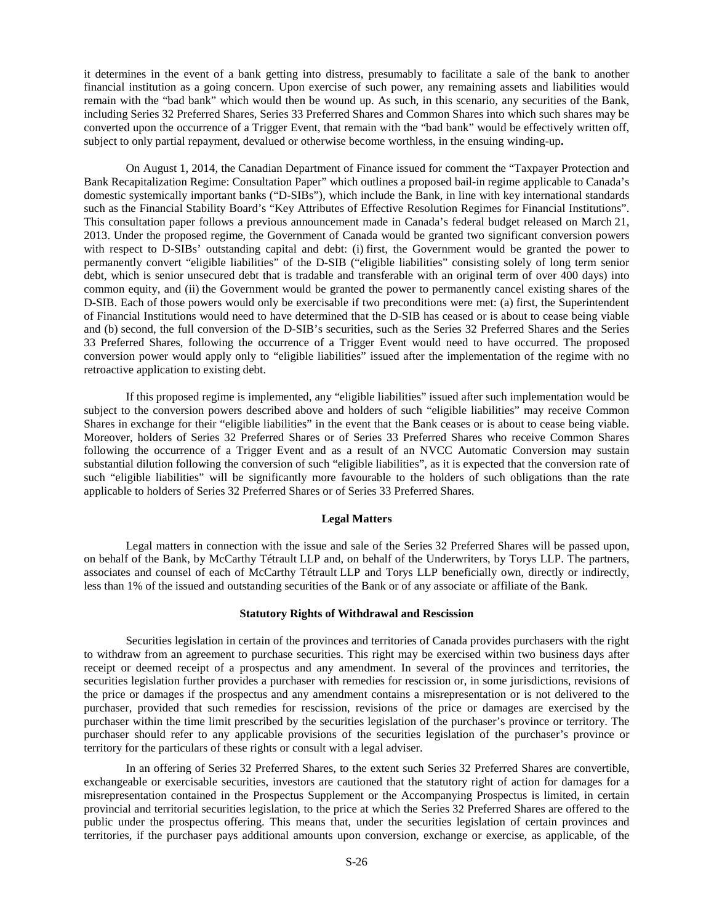it determines in the event of a bank getting into distress, presumably to facilitate a sale of the bank to another financial institution as a going concern. Upon exercise of such power, any remaining assets and liabilities would remain with the "bad bank" which would then be wound up. As such, in this scenario, any securities of the Bank, including Series 32 Preferred Shares, Series 33 Preferred Shares and Common Shares into which such shares may be converted upon the occurrence of a Trigger Event, that remain with the "bad bank" would be effectively written off, subject to only partial repayment, devalued or otherwise become worthless, in the ensuing winding-up**.**

On August 1, 2014, the Canadian Department of Finance issued for comment the "Taxpayer Protection and Bank Recapitalization Regime: Consultation Paper" which outlines a proposed bail-in regime applicable to Canada's domestic systemically important banks ("D-SIBs"), which include the Bank, in line with key international standards such as the Financial Stability Board's "Key Attributes of Effective Resolution Regimes for Financial Institutions". This consultation paper follows a previous announcement made in Canada's federal budget released on March 21, 2013. Under the proposed regime, the Government of Canada would be granted two significant conversion powers with respect to D-SIBs' outstanding capital and debt: (i) first, the Government would be granted the power to permanently convert "eligible liabilities" of the D-SIB ("eligible liabilities" consisting solely of long term senior debt, which is senior unsecured debt that is tradable and transferable with an original term of over 400 days) into common equity, and (ii) the Government would be granted the power to permanently cancel existing shares of the D-SIB. Each of those powers would only be exercisable if two preconditions were met: (a) first, the Superintendent of Financial Institutions would need to have determined that the D-SIB has ceased or is about to cease being viable and (b) second, the full conversion of the D-SIB's securities, such as the Series 32 Preferred Shares and the Series 33 Preferred Shares, following the occurrence of a Trigger Event would need to have occurred. The proposed conversion power would apply only to "eligible liabilities" issued after the implementation of the regime with no retroactive application to existing debt.

If this proposed regime is implemented, any "eligible liabilities" issued after such implementation would be subject to the conversion powers described above and holders of such "eligible liabilities" may receive Common Shares in exchange for their "eligible liabilities" in the event that the Bank ceases or is about to cease being viable. Moreover, holders of Series 32 Preferred Shares or of Series 33 Preferred Shares who receive Common Shares following the occurrence of a Trigger Event and as a result of an NVCC Automatic Conversion may sustain substantial dilution following the conversion of such "eligible liabilities", as it is expected that the conversion rate of such "eligible liabilities" will be significantly more favourable to the holders of such obligations than the rate applicable to holders of Series 32 Preferred Shares or of Series 33 Preferred Shares.

# **Legal Matters**

Legal matters in connection with the issue and sale of the Series 32 Preferred Shares will be passed upon, on behalf of the Bank, by McCarthy Tétrault LLP and, on behalf of the Underwriters, by Torys LLP. The partners, associates and counsel of each of McCarthy Tétrault LLP and Torys LLP beneficially own, directly or indirectly, less than 1% of the issued and outstanding securities of the Bank or of any associate or affiliate of the Bank.

#### **Statutory Rights of Withdrawal and Rescission**

Securities legislation in certain of the provinces and territories of Canada provides purchasers with the right to withdraw from an agreement to purchase securities. This right may be exercised within two business days after receipt or deemed receipt of a prospectus and any amendment. In several of the provinces and territories, the securities legislation further provides a purchaser with remedies for rescission or, in some jurisdictions, revisions of the price or damages if the prospectus and any amendment contains a misrepresentation or is not delivered to the purchaser, provided that such remedies for rescission, revisions of the price or damages are exercised by the purchaser within the time limit prescribed by the securities legislation of the purchaser's province or territory. The purchaser should refer to any applicable provisions of the securities legislation of the purchaser's province or territory for the particulars of these rights or consult with a legal adviser.

In an offering of Series 32 Preferred Shares, to the extent such Series 32 Preferred Shares are convertible, exchangeable or exercisable securities, investors are cautioned that the statutory right of action for damages for a misrepresentation contained in the Prospectus Supplement or the Accompanying Prospectus is limited, in certain provincial and territorial securities legislation, to the price at which the Series 32 Preferred Shares are offered to the public under the prospectus offering. This means that, under the securities legislation of certain provinces and territories, if the purchaser pays additional amounts upon conversion, exchange or exercise, as applicable, of the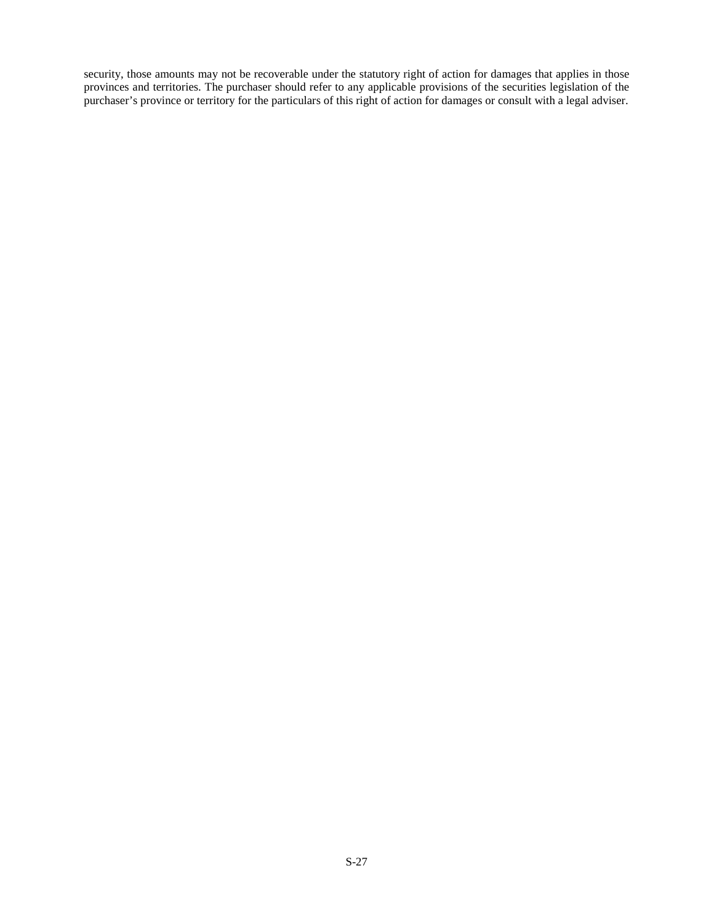security, those amounts may not be recoverable under the statutory right of action for damages that applies in those provinces and territories. The purchaser should refer to any applicable provisions of the securities legislation of the purchaser's province or territory for the particulars of this right of action for damages or consult with a legal adviser.